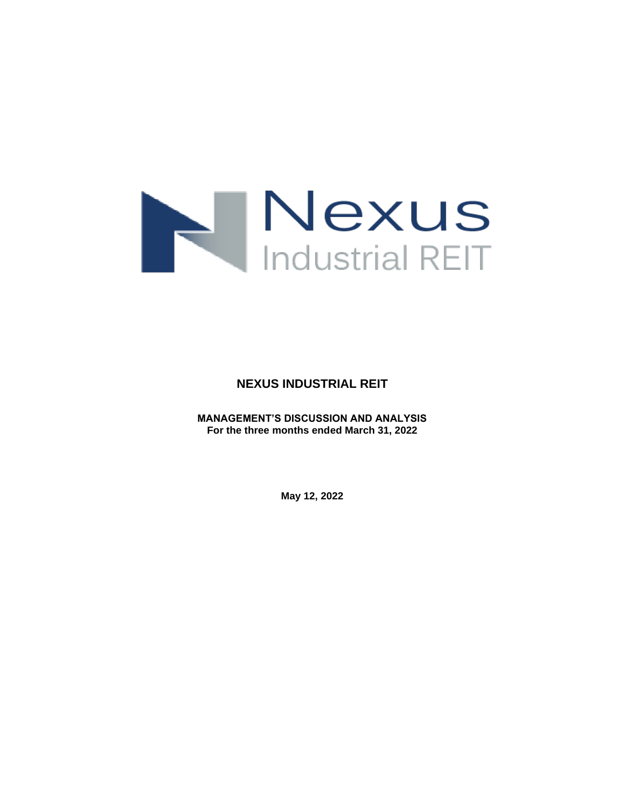

**NEXUS INDUSTRIAL REIT**

**MANAGEMENT'S DISCUSSION AND ANALYSIS For the three months ended March 31, 2022**

**May 12, 2022**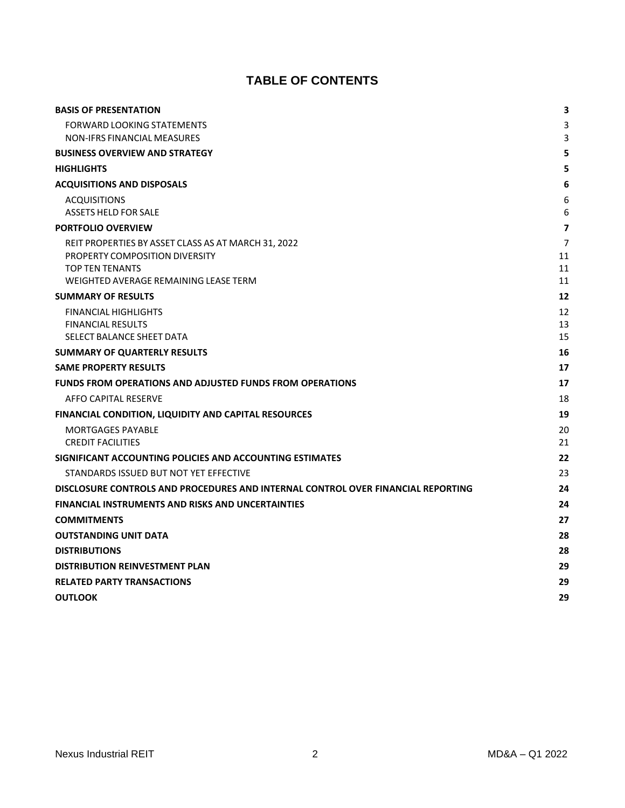# **TABLE OF CONTENTS**

| <b>BASIS OF PRESENTATION</b>                                                     | 3                       |
|----------------------------------------------------------------------------------|-------------------------|
| <b>FORWARD LOOKING STATEMENTS</b>                                                | 3                       |
| <b>NON-IFRS FINANCIAL MEASURES</b>                                               | 3                       |
| <b>BUSINESS OVERVIEW AND STRATEGY</b>                                            | 5                       |
| <b>HIGHLIGHTS</b>                                                                | 5                       |
| <b>ACQUISITIONS AND DISPOSALS</b>                                                | 6                       |
| <b>ACQUISITIONS</b>                                                              | 6                       |
| <b>ASSETS HELD FOR SALE</b>                                                      | 6                       |
| <b>PORTFOLIO OVERVIEW</b>                                                        | $\overline{\mathbf{z}}$ |
| REIT PROPERTIES BY ASSET CLASS AS AT MARCH 31, 2022                              | 7                       |
| PROPERTY COMPOSITION DIVERSITY                                                   | 11                      |
| <b>TOP TEN TENANTS</b><br>WEIGHTED AVERAGE REMAINING LEASE TERM                  | 11<br>11                |
| <b>SUMMARY OF RESULTS</b>                                                        | 12                      |
| <b>FINANCIAL HIGHLIGHTS</b>                                                      | 12                      |
| <b>FINANCIAL RESULTS</b>                                                         | 13                      |
| SELECT BALANCE SHEET DATA                                                        | 15                      |
| <b>SUMMARY OF QUARTERLY RESULTS</b>                                              | 16                      |
| <b>SAME PROPERTY RESULTS</b>                                                     | 17                      |
| <b>FUNDS FROM OPERATIONS AND ADJUSTED FUNDS FROM OPERATIONS</b>                  | 17                      |
| AFFO CAPITAL RESERVE                                                             | 18                      |
| FINANCIAL CONDITION, LIQUIDITY AND CAPITAL RESOURCES                             | 19                      |
| <b>MORTGAGES PAYABLE</b>                                                         | 20                      |
| <b>CREDIT FACILITIES</b>                                                         | 21                      |
| SIGNIFICANT ACCOUNTING POLICIES AND ACCOUNTING ESTIMATES                         | 22                      |
| STANDARDS ISSUED BUT NOT YET EFFECTIVE                                           | 23                      |
| DISCLOSURE CONTROLS AND PROCEDURES AND INTERNAL CONTROL OVER FINANCIAL REPORTING | 24                      |
| <b>FINANCIAL INSTRUMENTS AND RISKS AND UNCERTAINTIES</b>                         | 24                      |
| <b>COMMITMENTS</b>                                                               | 27                      |
| <b>OUTSTANDING UNIT DATA</b>                                                     | 28                      |
| <b>DISTRIBUTIONS</b>                                                             | 28                      |
| <b>DISTRIBUTION REINVESTMENT PLAN</b>                                            | 29                      |
| <b>RELATED PARTY TRANSACTIONS</b>                                                | 29                      |
| <b>OUTLOOK</b>                                                                   | 29                      |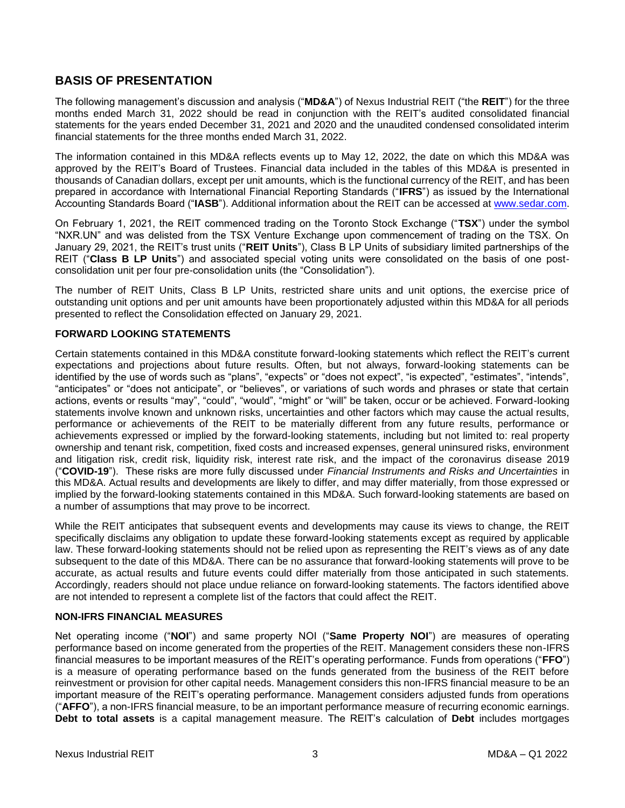## <span id="page-2-0"></span>**BASIS OF PRESENTATION**

The following management's discussion and analysis ("**MD&A**") of Nexus Industrial REIT ("the **REIT**") for the three months ended March 31, 2022 should be read in conjunction with the REIT's audited consolidated financial statements for the years ended December 31, 2021 and 2020 and the unaudited condensed consolidated interim financial statements for the three months ended March 31, 2022.

The information contained in this MD&A reflects events up to May 12, 2022, the date on which this MD&A was approved by the REIT's Board of Trustees. Financial data included in the tables of this MD&A is presented in thousands of Canadian dollars, except per unit amounts, which is the functional currency of the REIT, and has been prepared in accordance with International Financial Reporting Standards ("**IFRS**") as issued by the International Accounting Standards Board ("**IASB**"). Additional information about the REIT can be accessed at [www.sedar.com.](http://www.sedar.com/)

On February 1, 2021, the REIT commenced trading on the Toronto Stock Exchange ("**TSX**") under the symbol "NXR.UN" and was delisted from the TSX Venture Exchange upon commencement of trading on the TSX. On January 29, 2021, the REIT's trust units ("**REIT Units**"), Class B LP Units of subsidiary limited partnerships of the REIT ("**Class B LP Units**") and associated special voting units were consolidated on the basis of one postconsolidation unit per four pre-consolidation units (the "Consolidation").

The number of REIT Units, Class B LP Units, restricted share units and unit options, the exercise price of outstanding unit options and per unit amounts have been proportionately adjusted within this MD&A for all periods presented to reflect the Consolidation effected on January 29, 2021.

## <span id="page-2-1"></span>**FORWARD LOOKING STATEMENTS**

Certain statements contained in this MD&A constitute forward-looking statements which reflect the REIT's current expectations and projections about future results. Often, but not always, forward-looking statements can be identified by the use of words such as "plans", "expects" or "does not expect", "is expected", "estimates", "intends", "anticipates" or "does not anticipate", or "believes", or variations of such words and phrases or state that certain actions, events or results "may", "could", "would", "might" or "will" be taken, occur or be achieved. Forward-looking statements involve known and unknown risks, uncertainties and other factors which may cause the actual results, performance or achievements of the REIT to be materially different from any future results, performance or achievements expressed or implied by the forward-looking statements, including but not limited to: real property ownership and tenant risk, competition, fixed costs and increased expenses, general uninsured risks, environment and litigation risk, credit risk, liquidity risk, interest rate risk, and the impact of the coronavirus disease 2019 ("**COVID-19**"). These risks are more fully discussed under *Financial Instruments and Risks and Uncertainties* in this MD&A. Actual results and developments are likely to differ, and may differ materially, from those expressed or implied by the forward-looking statements contained in this MD&A. Such forward-looking statements are based on a number of assumptions that may prove to be incorrect.

While the REIT anticipates that subsequent events and developments may cause its views to change, the REIT specifically disclaims any obligation to update these forward-looking statements except as required by applicable law. These forward-looking statements should not be relied upon as representing the REIT's views as of any date subsequent to the date of this MD&A. There can be no assurance that forward-looking statements will prove to be accurate, as actual results and future events could differ materially from those anticipated in such statements. Accordingly, readers should not place undue reliance on forward-looking statements. The factors identified above are not intended to represent a complete list of the factors that could affect the REIT.

## <span id="page-2-2"></span>**NON-IFRS FINANCIAL MEASURES**

Net operating income ("**NOI**") and same property NOI ("**Same Property NOI**") are measures of operating performance based on income generated from the properties of the REIT. Management considers these non-IFRS financial measures to be important measures of the REIT's operating performance. Funds from operations ("**FFO**") is a measure of operating performance based on the funds generated from the business of the REIT before reinvestment or provision for other capital needs. Management considers this non-IFRS financial measure to be an important measure of the REIT's operating performance. Management considers adjusted funds from operations ("**AFFO**"), a non-IFRS financial measure, to be an important performance measure of recurring economic earnings. **Debt to total assets** is a capital management measure. The REIT's calculation of **Debt** includes mortgages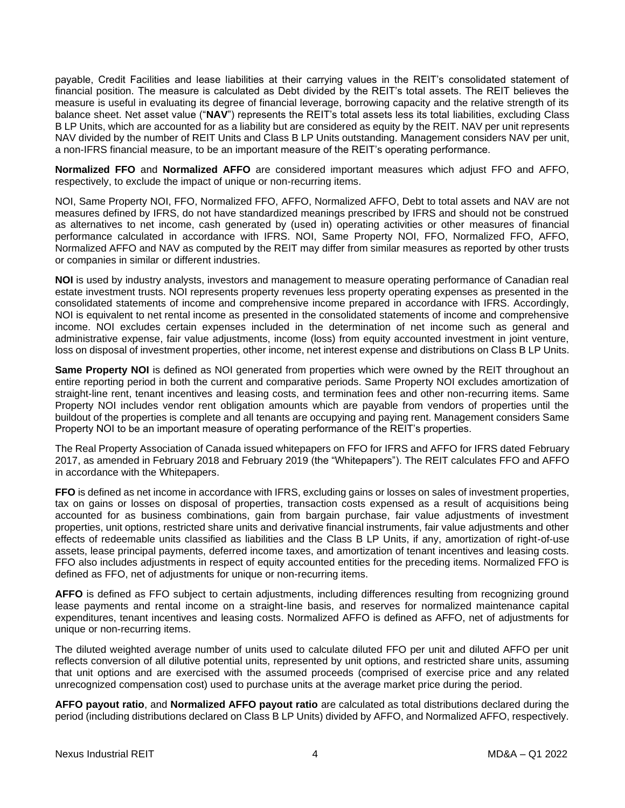payable, Credit Facilities and lease liabilities at their carrying values in the REIT's consolidated statement of financial position. The measure is calculated as Debt divided by the REIT's total assets. The REIT believes the measure is useful in evaluating its degree of financial leverage, borrowing capacity and the relative strength of its balance sheet. Net asset value ("**NAV**") represents the REIT's total assets less its total liabilities, excluding Class B LP Units, which are accounted for as a liability but are considered as equity by the REIT. NAV per unit represents NAV divided by the number of REIT Units and Class B LP Units outstanding. Management considers NAV per unit, a non-IFRS financial measure, to be an important measure of the REIT's operating performance.

**Normalized FFO** and **Normalized AFFO** are considered important measures which adjust FFO and AFFO, respectively, to exclude the impact of unique or non-recurring items.

NOI, Same Property NOI, FFO, Normalized FFO, AFFO, Normalized AFFO, Debt to total assets and NAV are not measures defined by IFRS, do not have standardized meanings prescribed by IFRS and should not be construed as alternatives to net income, cash generated by (used in) operating activities or other measures of financial performance calculated in accordance with IFRS. NOI, Same Property NOI, FFO, Normalized FFO, AFFO, Normalized AFFO and NAV as computed by the REIT may differ from similar measures as reported by other trusts or companies in similar or different industries.

**NOI** is used by industry analysts, investors and management to measure operating performance of Canadian real estate investment trusts. NOI represents property revenues less property operating expenses as presented in the consolidated statements of income and comprehensive income prepared in accordance with IFRS. Accordingly, NOI is equivalent to net rental income as presented in the consolidated statements of income and comprehensive income. NOI excludes certain expenses included in the determination of net income such as general and administrative expense, fair value adjustments, income (loss) from equity accounted investment in joint venture, loss on disposal of investment properties, other income, net interest expense and distributions on Class B LP Units.

**Same Property NOI** is defined as NOI generated from properties which were owned by the REIT throughout an entire reporting period in both the current and comparative periods. Same Property NOI excludes amortization of straight-line rent, tenant incentives and leasing costs, and termination fees and other non-recurring items. Same Property NOI includes vendor rent obligation amounts which are payable from vendors of properties until the buildout of the properties is complete and all tenants are occupying and paying rent. Management considers Same Property NOI to be an important measure of operating performance of the REIT's properties.

The Real Property Association of Canada issued whitepapers on FFO for IFRS and AFFO for IFRS dated February 2017, as amended in February 2018 and February 2019 (the "Whitepapers"). The REIT calculates FFO and AFFO in accordance with the Whitepapers.

**FFO** is defined as net income in accordance with IFRS, excluding gains or losses on sales of investment properties, tax on gains or losses on disposal of properties, transaction costs expensed as a result of acquisitions being accounted for as business combinations, gain from bargain purchase, fair value adjustments of investment properties, unit options, restricted share units and derivative financial instruments, fair value adjustments and other effects of redeemable units classified as liabilities and the Class B LP Units, if any, amortization of right-of-use assets, lease principal payments, deferred income taxes, and amortization of tenant incentives and leasing costs. FFO also includes adjustments in respect of equity accounted entities for the preceding items. Normalized FFO is defined as FFO, net of adjustments for unique or non-recurring items.

**AFFO** is defined as FFO subject to certain adjustments, including differences resulting from recognizing ground lease payments and rental income on a straight-line basis, and reserves for normalized maintenance capital expenditures, tenant incentives and leasing costs. Normalized AFFO is defined as AFFO, net of adjustments for unique or non-recurring items.

The diluted weighted average number of units used to calculate diluted FFO per unit and diluted AFFO per unit reflects conversion of all dilutive potential units, represented by unit options, and restricted share units, assuming that unit options and are exercised with the assumed proceeds (comprised of exercise price and any related unrecognized compensation cost) used to purchase units at the average market price during the period.

**AFFO payout ratio**, and **Normalized AFFO payout ratio** are calculated as total distributions declared during the period (including distributions declared on Class B LP Units) divided by AFFO, and Normalized AFFO, respectively.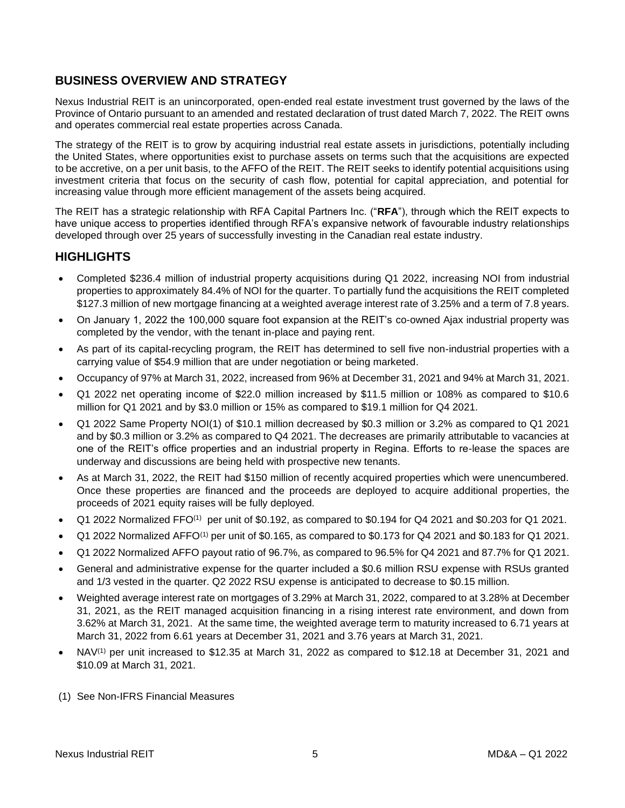## <span id="page-4-0"></span>**BUSINESS OVERVIEW AND STRATEGY**

Nexus Industrial REIT is an unincorporated, open-ended real estate investment trust governed by the laws of the Province of Ontario pursuant to an amended and restated declaration of trust dated March 7, 2022. The REIT owns and operates commercial real estate properties across Canada.

The strategy of the REIT is to grow by acquiring industrial real estate assets in jurisdictions, potentially including the United States, where opportunities exist to purchase assets on terms such that the acquisitions are expected to be accretive, on a per unit basis, to the AFFO of the REIT. The REIT seeks to identify potential acquisitions using investment criteria that focus on the security of cash flow, potential for capital appreciation, and potential for increasing value through more efficient management of the assets being acquired.

The REIT has a strategic relationship with RFA Capital Partners Inc. ("**RFA**"), through which the REIT expects to have unique access to properties identified through RFA's expansive network of favourable industry relationships developed through over 25 years of successfully investing in the Canadian real estate industry.

## <span id="page-4-1"></span>**HIGHLIGHTS**

- Completed \$236.4 million of industrial property acquisitions during Q1 2022, increasing NOI from industrial properties to approximately 84.4% of NOI for the quarter. To partially fund the acquisitions the REIT completed \$127.3 million of new mortgage financing at a weighted average interest rate of 3.25% and a term of 7.8 years.
- On January 1, 2022 the 100,000 square foot expansion at the REIT's co-owned Ajax industrial property was completed by the vendor, with the tenant in-place and paying rent.
- As part of its capital-recycling program, the REIT has determined to sell five non-industrial properties with a carrying value of \$54.9 million that are under negotiation or being marketed.
- Occupancy of 97% at March 31, 2022, increased from 96% at December 31, 2021 and 94% at March 31, 2021.
- Q1 2022 net operating income of \$22.0 million increased by \$11.5 million or 108% as compared to \$10.6 million for Q1 2021 and by \$3.0 million or 15% as compared to \$19.1 million for Q4 2021.
- Q1 2022 Same Property NOI(1) of \$10.1 million decreased by \$0.3 million or 3.2% as compared to Q1 2021 and by \$0.3 million or 3.2% as compared to Q4 2021. The decreases are primarily attributable to vacancies at one of the REIT's office properties and an industrial property in Regina. Efforts to re-lease the spaces are underway and discussions are being held with prospective new tenants.
- As at March 31, 2022, the REIT had \$150 million of recently acquired properties which were unencumbered. Once these properties are financed and the proceeds are deployed to acquire additional properties, the proceeds of 2021 equity raises will be fully deployed.
- Q1 2022 Normalized FFO<sup>(1)</sup> per unit of \$0.192, as compared to \$0.194 for Q4 2021 and \$0.203 for Q1 2021.
- Q1 2022 Normalized AFFO<sup>(1)</sup> per unit of \$0.165, as compared to \$0.173 for Q4 2021 and \$0.183 for Q1 2021.
- Q1 2022 Normalized AFFO payout ratio of 96.7%, as compared to 96.5% for Q4 2021 and 87.7% for Q1 2021.
- General and administrative expense for the quarter included a \$0.6 million RSU expense with RSUs granted and 1/3 vested in the quarter. Q2 2022 RSU expense is anticipated to decrease to \$0.15 million.
- Weighted average interest rate on mortgages of 3.29% at March 31, 2022, compared to at 3.28% at December 31, 2021, as the REIT managed acquisition financing in a rising interest rate environment, and down from 3.62% at March 31, 2021. At the same time, the weighted average term to maturity increased to 6.71 years at March 31, 2022 from 6.61 years at December 31, 2021 and 3.76 years at March 31, 2021.
- NAV<sup>(1)</sup> per unit increased to \$12.35 at March 31, 2022 as compared to \$12.18 at December 31, 2021 and \$10.09 at March 31, 2021.
- (1) See Non-IFRS Financial Measures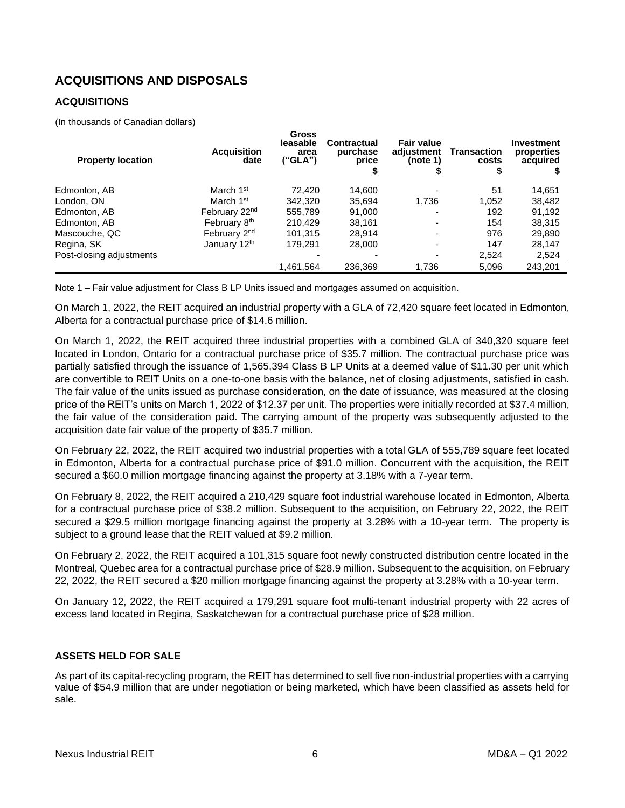# <span id="page-5-0"></span>**ACQUISITIONS AND DISPOSALS**

## <span id="page-5-1"></span>**ACQUISITIONS**

(In thousands of Canadian dollars)

| <b>Property location</b> | <b>Acquisition</b><br>date | <b>Gross</b><br>leasable<br>area<br>("GLA") | Contractual<br>purchase<br>price<br>\$ | <b>Fair value</b><br>adjustment<br>(note 1) | Transaction<br>costs<br>\$ | Investment<br>properties<br>acquired |
|--------------------------|----------------------------|---------------------------------------------|----------------------------------------|---------------------------------------------|----------------------------|--------------------------------------|
| Edmonton, AB             | March 1 <sup>st</sup>      | 72.420                                      | 14,600                                 |                                             | 51                         | 14,651                               |
| London, ON               | March 1 <sup>st</sup>      | 342,320                                     | 35.694                                 | 1.736                                       | 1,052                      | 38,482                               |
| Edmonton, AB             | February 22 <sup>nd</sup>  | 555,789                                     | 91.000                                 |                                             | 192                        | 91,192                               |
| Edmonton, AB             | February 8 <sup>th</sup>   | 210.429                                     | 38.161                                 |                                             | 154                        | 38,315                               |
| Mascouche, QC            | February 2 <sup>nd</sup>   | 101,315                                     | 28.914                                 |                                             | 976                        | 29,890                               |
| Regina, SK               | January 12th               | 179,291                                     | 28,000                                 | $\overline{\phantom{0}}$                    | 147                        | 28,147                               |
| Post-closing adjustments |                            |                                             |                                        |                                             | 2,524                      | 2,524                                |
|                          |                            | 1,461,564                                   | 236,369                                | 1,736                                       | 5,096                      | 243.201                              |

Note 1 – Fair value adjustment for Class B LP Units issued and mortgages assumed on acquisition.

On March 1, 2022, the REIT acquired an industrial property with a GLA of 72,420 square feet located in Edmonton, Alberta for a contractual purchase price of \$14.6 million.

On March 1, 2022, the REIT acquired three industrial properties with a combined GLA of 340,320 square feet located in London, Ontario for a contractual purchase price of \$35.7 million. The contractual purchase price was partially satisfied through the issuance of 1,565,394 Class B LP Units at a deemed value of \$11.30 per unit which are convertible to REIT Units on a one-to-one basis with the balance, net of closing adjustments, satisfied in cash. The fair value of the units issued as purchase consideration, on the date of issuance, was measured at the closing price of the REIT's units on March 1, 2022 of \$12.37 per unit. The properties were initially recorded at \$37.4 million, the fair value of the consideration paid. The carrying amount of the property was subsequently adjusted to the acquisition date fair value of the property of \$35.7 million.

On February 22, 2022, the REIT acquired two industrial properties with a total GLA of 555,789 square feet located in Edmonton, Alberta for a contractual purchase price of \$91.0 million. Concurrent with the acquisition, the REIT secured a \$60.0 million mortgage financing against the property at 3.18% with a 7-year term.

On February 8, 2022, the REIT acquired a 210,429 square foot industrial warehouse located in Edmonton, Alberta for a contractual purchase price of \$38.2 million. Subsequent to the acquisition, on February 22, 2022, the REIT secured a \$29.5 million mortgage financing against the property at 3.28% with a 10-year term. The property is subject to a ground lease that the REIT valued at \$9.2 million.

On February 2, 2022, the REIT acquired a 101,315 square foot newly constructed distribution centre located in the Montreal, Quebec area for a contractual purchase price of \$28.9 million. Subsequent to the acquisition, on February 22, 2022, the REIT secured a \$20 million mortgage financing against the property at 3.28% with a 10-year term.

On January 12, 2022, the REIT acquired a 179,291 square foot multi-tenant industrial property with 22 acres of excess land located in Regina, Saskatchewan for a contractual purchase price of \$28 million.

## <span id="page-5-2"></span>**ASSETS HELD FOR SALE**

As part of its capital-recycling program, the REIT has determined to sell five non-industrial properties with a carrying value of \$54.9 million that are under negotiation or being marketed, which have been classified as assets held for sale.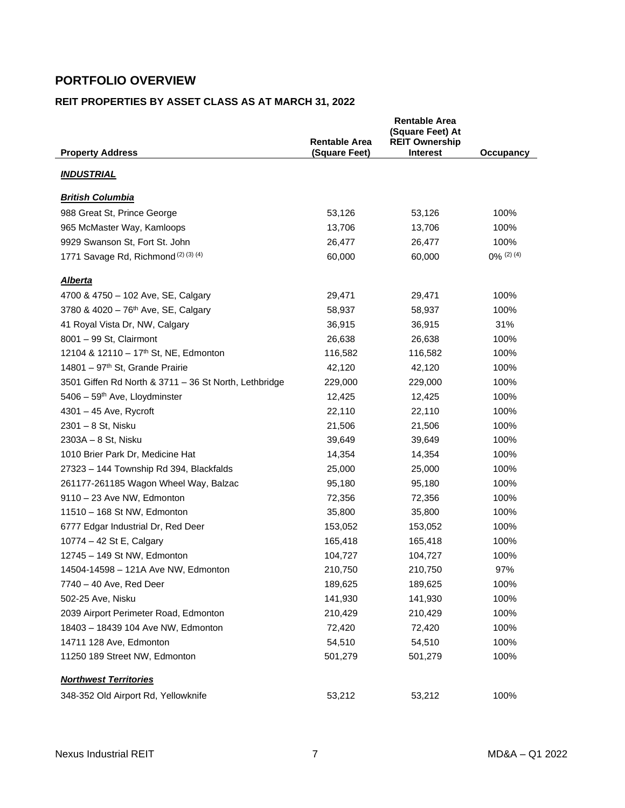# <span id="page-6-0"></span>**PORTFOLIO OVERVIEW**

## <span id="page-6-1"></span>**REIT PROPERTIES BY ASSET CLASS AS AT MARCH 31, 2022**

|                                                       | <b>Rentable Area</b> | <b>Rentable Area</b><br>(Square Feet) At<br><b>REIT Ownership</b> |               |
|-------------------------------------------------------|----------------------|-------------------------------------------------------------------|---------------|
| <b>Property Address</b>                               | (Square Feet)        | <b>Interest</b>                                                   | Occupancy     |
| <b>INDUSTRIAL</b>                                     |                      |                                                                   |               |
| <b>British Columbia</b>                               |                      |                                                                   |               |
| 988 Great St, Prince George                           | 53,126               | 53,126                                                            | 100%          |
| 965 McMaster Way, Kamloops                            | 13,706               | 13,706                                                            | 100%          |
| 9929 Swanson St, Fort St. John                        | 26,477               | 26,477                                                            | 100%          |
| 1771 Savage Rd, Richmond <sup>(2)(3)(4)</sup>         | 60,000               | 60,000                                                            | $0\%$ (2) (4) |
| <u>Alberta</u>                                        |                      |                                                                   |               |
| 4700 & 4750 - 102 Ave, SE, Calgary                    | 29,471               | 29,471                                                            | 100%          |
| 3780 & 4020 - 76 <sup>th</sup> Ave, SE, Calgary       | 58,937               | 58,937                                                            | 100%          |
| 41 Royal Vista Dr, NW, Calgary                        | 36,915               | 36,915                                                            | 31%           |
| 8001 - 99 St, Clairmont                               | 26,638               | 26,638                                                            | 100%          |
| 12104 & 12110 - 17 <sup>th</sup> St, NE, Edmonton     | 116,582              | 116,582                                                           | 100%          |
| 14801 - 97 <sup>th</sup> St, Grande Prairie           | 42,120               | 42,120                                                            | 100%          |
| 3501 Giffen Rd North & 3711 - 36 St North, Lethbridge | 229,000              | 229,000                                                           | 100%          |
| 5406 - 59 <sup>th</sup> Ave, Lloydminster             | 12,425               | 12,425                                                            | 100%          |
| 4301 - 45 Ave, Rycroft                                | 22,110               | 22,110                                                            | 100%          |
| 2301 - 8 St, Nisku                                    | 21,506               | 21,506                                                            | 100%          |
| 2303A - 8 St, Nisku                                   | 39,649               | 39,649                                                            | 100%          |
| 1010 Brier Park Dr, Medicine Hat                      | 14,354               | 14,354                                                            | 100%          |
| 27323 - 144 Township Rd 394, Blackfalds               | 25,000               | 25,000                                                            | 100%          |
| 261177-261185 Wagon Wheel Way, Balzac                 | 95,180               | 95,180                                                            | 100%          |
| 9110 - 23 Ave NW, Edmonton                            | 72,356               | 72,356                                                            | 100%          |
| 11510 - 168 St NW, Edmonton                           | 35,800               | 35,800                                                            | 100%          |
| 6777 Edgar Industrial Dr, Red Deer                    | 153,052              | 153,052                                                           | 100%          |
| 10774 - 42 St E, Calgary                              | 165,418              | 165,418                                                           | 100%          |
| 12745 - 149 St NW, Edmonton                           | 104,727              | 104,727                                                           | 100%          |
| 14504-14598 - 121A Ave NW, Edmonton                   | 210,750              | 210,750                                                           | 97%           |
| 7740 - 40 Ave, Red Deer                               | 189,625              | 189,625                                                           | 100%          |
| 502-25 Ave, Nisku                                     | 141,930              | 141,930                                                           | 100%          |
| 2039 Airport Perimeter Road, Edmonton                 | 210,429              | 210,429                                                           | 100%          |
| 18403 - 18439 104 Ave NW, Edmonton                    | 72,420               | 72,420                                                            | 100%          |
| 14711 128 Ave, Edmonton                               | 54,510               | 54,510                                                            | 100%          |
| 11250 189 Street NW, Edmonton                         | 501,279              | 501,279                                                           | 100%          |
| <b>Northwest Territories</b>                          |                      |                                                                   |               |
| 348-352 Old Airport Rd, Yellowknife                   | 53,212               | 53,212                                                            | 100%          |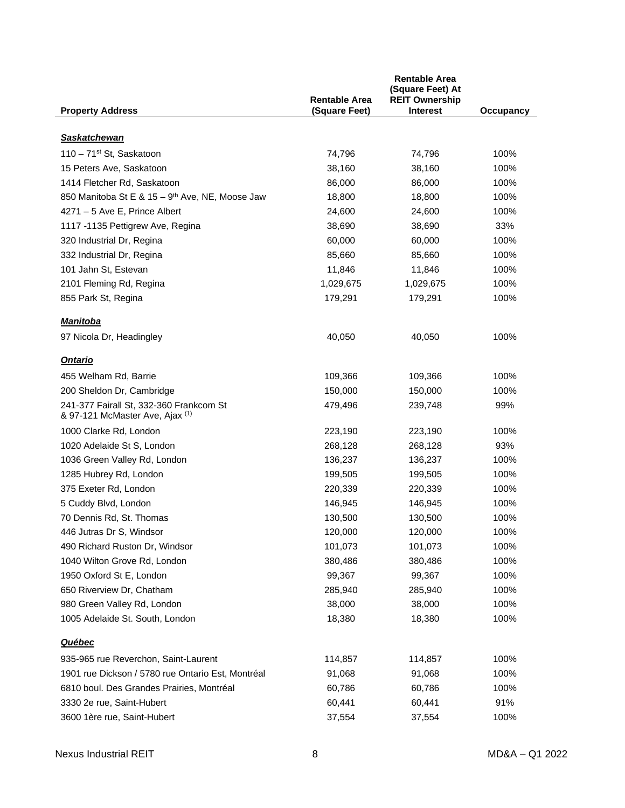|                                                                            | <b>Rentable Area</b> | <b>Rentable Area</b><br>(Square Feet) At<br><b>REIT Ownership</b> |           |
|----------------------------------------------------------------------------|----------------------|-------------------------------------------------------------------|-----------|
| <b>Property Address</b>                                                    | (Square Feet)        | <b>Interest</b>                                                   | Occupancy |
| <b>Saskatchewan</b>                                                        |                      |                                                                   |           |
| 110 - 71 <sup>st</sup> St, Saskatoon                                       | 74,796               | 74,796                                                            | 100%      |
| 15 Peters Ave, Saskatoon                                                   | 38,160               | 38,160                                                            | 100%      |
| 1414 Fletcher Rd, Saskatoon                                                | 86,000               | 86,000                                                            | 100%      |
| 850 Manitoba St E & 15 - 9th Ave, NE, Moose Jaw                            | 18,800               | 18,800                                                            | 100%      |
| 4271 - 5 Ave E, Prince Albert                                              | 24,600               | 24,600                                                            | 100%      |
| 1117 -1135 Pettigrew Ave, Regina                                           | 38,690               | 38,690                                                            | 33%       |
| 320 Industrial Dr, Regina                                                  | 60,000               | 60,000                                                            | 100%      |
| 332 Industrial Dr, Regina                                                  | 85,660               | 85,660                                                            | 100%      |
| 101 Jahn St, Estevan                                                       | 11,846               | 11,846                                                            | 100%      |
| 2101 Fleming Rd, Regina                                                    | 1,029,675            | 1,029,675                                                         | 100%      |
| 855 Park St, Regina                                                        | 179,291              | 179,291                                                           | 100%      |
|                                                                            |                      |                                                                   |           |
| Manitoba                                                                   |                      |                                                                   |           |
| 97 Nicola Dr, Headingley                                                   | 40,050               | 40,050                                                            | 100%      |
| <u>Ontario</u>                                                             |                      |                                                                   |           |
| 455 Welham Rd, Barrie                                                      | 109,366              | 109,366                                                           | 100%      |
| 200 Sheldon Dr, Cambridge                                                  | 150,000              | 150,000                                                           | 100%      |
| 241-377 Fairall St, 332-360 Frankcom St<br>& 97-121 McMaster Ave, Ajax (1) | 479,496              | 239,748                                                           | 99%       |
| 1000 Clarke Rd, London                                                     | 223,190              | 223,190                                                           | 100%      |
| 1020 Adelaide St S, London                                                 | 268,128              | 268,128                                                           | 93%       |
| 1036 Green Valley Rd, London                                               | 136,237              | 136,237                                                           | 100%      |
| 1285 Hubrey Rd, London                                                     | 199,505              | 199,505                                                           | 100%      |
| 375 Exeter Rd, London                                                      | 220,339              | 220,339                                                           | 100%      |
| 5 Cuddy Blvd, London                                                       | 146,945              | 146,945                                                           | 100%      |
| 70 Dennis Rd, St. Thomas                                                   | 130,500              | 130,500                                                           | 100%      |
| 446 Jutras Dr S, Windsor                                                   | 120,000              | 120,000                                                           | 100%      |
| 490 Richard Ruston Dr, Windsor                                             | 101,073              | 101,073                                                           | 100%      |
| 1040 Wilton Grove Rd, London                                               | 380,486              | 380,486                                                           | 100%      |
| 1950 Oxford St E, London                                                   | 99,367               | 99,367                                                            | 100%      |
| 650 Riverview Dr, Chatham                                                  | 285,940              | 285,940                                                           | 100%      |
| 980 Green Valley Rd, London                                                | 38,000               | 38,000                                                            | 100%      |
| 1005 Adelaide St. South, London                                            | 18,380               | 18,380                                                            | 100%      |
| <u>Québec</u>                                                              |                      |                                                                   |           |
| 935-965 rue Reverchon, Saint-Laurent                                       | 114,857              | 114,857                                                           | 100%      |
| 1901 rue Dickson / 5780 rue Ontario Est, Montréal                          | 91,068               | 91,068                                                            | 100%      |
| 6810 boul. Des Grandes Prairies, Montréal                                  | 60,786               | 60,786                                                            | 100%      |
| 3330 2e rue, Saint-Hubert                                                  | 60,441               | 60,441                                                            | 91%       |
| 3600 1ère rue, Saint-Hubert                                                | 37,554               | 37,554                                                            | 100%      |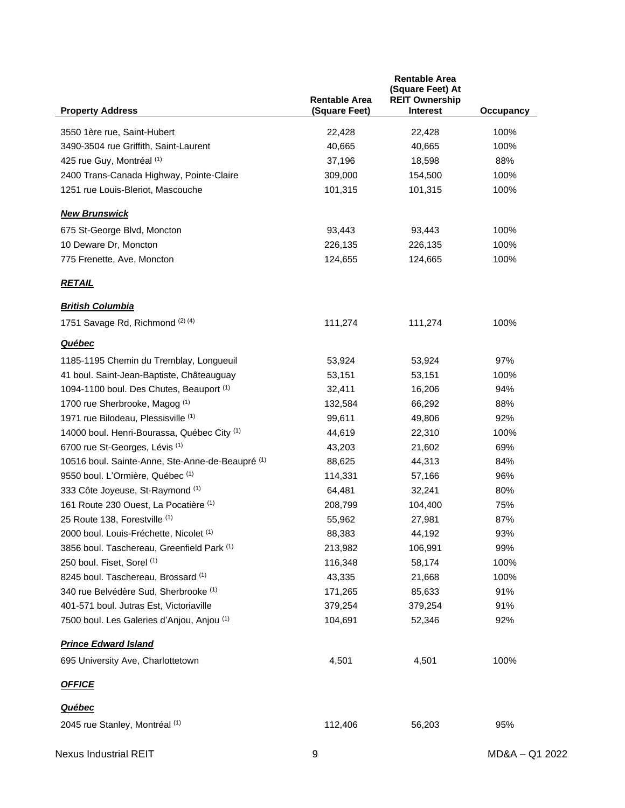|                                                  | <b>Rentable Area</b> | <b>Rentable Area</b><br>(Square Feet) At<br><b>REIT Ownership</b> |           |
|--------------------------------------------------|----------------------|-------------------------------------------------------------------|-----------|
| <b>Property Address</b>                          | (Square Feet)        | <b>Interest</b>                                                   | Occupancy |
| 3550 1ère rue, Saint-Hubert                      | 22,428               | 22,428                                                            | 100%      |
| 3490-3504 rue Griffith, Saint-Laurent            | 40,665               | 40,665                                                            | 100%      |
| 425 rue Guy, Montréal (1)                        | 37,196               | 18,598                                                            | 88%       |
| 2400 Trans-Canada Highway, Pointe-Claire         | 309,000              | 154,500                                                           | 100%      |
| 1251 rue Louis-Bleriot, Mascouche                | 101,315              | 101,315                                                           | 100%      |
| <b>New Brunswick</b>                             |                      |                                                                   |           |
| 675 St-George Blvd, Moncton                      | 93,443               | 93,443                                                            | 100%      |
| 10 Deware Dr, Moncton                            | 226,135              | 226,135                                                           | 100%      |
| 775 Frenette, Ave, Moncton                       | 124,655              | 124,665                                                           | 100%      |
| <b>RETAIL</b>                                    |                      |                                                                   |           |
| <b>British Columbia</b>                          |                      |                                                                   |           |
| 1751 Savage Rd, Richmond (2) (4)                 | 111,274              | 111,274                                                           | 100%      |
| <b>Québec</b>                                    |                      |                                                                   |           |
| 1185-1195 Chemin du Tremblay, Longueuil          | 53,924               | 53,924                                                            | 97%       |
| 41 boul. Saint-Jean-Baptiste, Châteauguay        | 53,151               | 53,151                                                            | 100%      |
| 1094-1100 boul. Des Chutes, Beauport (1)         | 32,411               | 16,206                                                            | 94%       |
| 1700 rue Sherbrooke, Magog (1)                   | 132,584              | 66,292                                                            | 88%       |
| 1971 rue Bilodeau, Plessisville (1)              | 99,611               | 49,806                                                            | 92%       |
| 14000 boul. Henri-Bourassa, Québec City (1)      | 44,619               | 22,310                                                            | 100%      |
| 6700 rue St-Georges, Lévis <sup>(1)</sup>        | 43,203               | 21,602                                                            | 69%       |
| 10516 boul. Sainte-Anne, Ste-Anne-de-Beaupré (1) | 88,625               | 44,313                                                            | 84%       |
| 9550 boul. L'Ormière, Québec (1)                 | 114,331              | 57,166                                                            | 96%       |
| 333 Côte Joyeuse, St-Raymond (1)                 | 64,481               | 32,241                                                            | 80%       |
| 161 Route 230 Ouest, La Pocatière (1)            | 208,799              | 104,400                                                           | 75%       |
| 25 Route 138, Forestville (1)                    | 55,962               | 27,981                                                            | 87%       |
| 2000 boul. Louis-Fréchette, Nicolet (1)          | 88,383               | 44,192                                                            | 93%       |
| 3856 boul. Taschereau, Greenfield Park (1)       | 213,982              | 106,991                                                           | 99%       |
| 250 boul. Fiset, Sorel (1)                       | 116,348              | 58,174                                                            | 100%      |
| 8245 boul. Taschereau, Brossard (1)              | 43,335               | 21,668                                                            | 100%      |
| 340 rue Belvédère Sud, Sherbrooke (1)            | 171,265              | 85,633                                                            | 91%       |
| 401-571 boul. Jutras Est, Victoriaville          | 379,254              | 379,254                                                           | 91%       |
| 7500 boul. Les Galeries d'Anjou, Anjou (1)       | 104,691              | 52,346                                                            | 92%       |
| <b>Prince Edward Island</b>                      |                      |                                                                   |           |
| 695 University Ave, Charlottetown                | 4,501                | 4,501                                                             | 100%      |
| <b>OFFICE</b>                                    |                      |                                                                   |           |
| <b>Québec</b>                                    |                      |                                                                   |           |
| 2045 rue Stanley, Montréal (1)                   | 112,406              | 56,203                                                            | 95%       |
|                                                  |                      |                                                                   |           |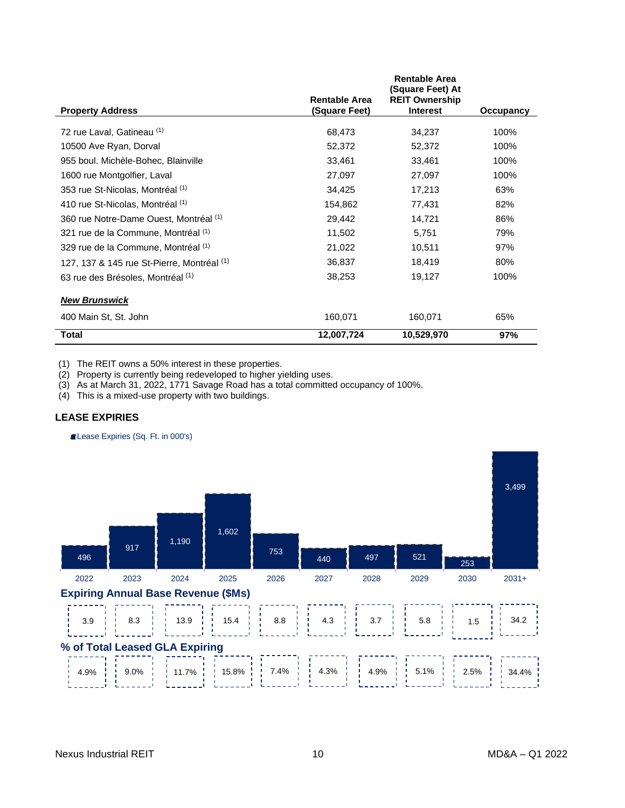| <b>Property Address</b>                    | <b>Rentable Area</b><br>(Square Feet) | <b>Rentable Area</b><br>(Square Feet) At<br><b>REIT Ownership</b><br><b>Interest</b> | Occupancy |
|--------------------------------------------|---------------------------------------|--------------------------------------------------------------------------------------|-----------|
| 72 rue Laval, Gatineau (1)                 | 68,473                                | 34,237                                                                               | 100%      |
| 10500 Ave Ryan, Dorval                     | 52,372                                | 52,372                                                                               | 100%      |
| 955 boul. Michèle-Bohec, Blainville        | 33,461                                | 33,461                                                                               | 100%      |
| 1600 rue Montgolfier, Laval                | 27,097                                | 27,097                                                                               | 100%      |
| 353 rue St-Nicolas, Montréal (1)           | 34,425                                | 17,213                                                                               | 63%       |
| 410 rue St-Nicolas, Montréal (1)           | 154,862                               | 77,431                                                                               | 82%       |
| 360 rue Notre-Dame Ouest, Montréal (1)     | 29,442                                | 14,721                                                                               | 86%       |
| 321 rue de la Commune, Montréal (1)        | 11,502                                | 5,751                                                                                | 79%       |
| 329 rue de la Commune, Montréal (1)        | 21,022                                | 10,511                                                                               | 97%       |
| 127, 137 & 145 rue St-Pierre, Montréal (1) | 36,837                                | 18,419                                                                               | 80%       |
| 63 rue des Brésoles, Montréal (1)          | 38,253                                | 19,127                                                                               | 100%      |
| <b>New Brunswick</b>                       |                                       |                                                                                      |           |
| 400 Main St, St. John                      | 160,071                               | 160,071                                                                              | 65%       |
| Total                                      | 12,007,724                            | 10,529,970                                                                           | 97%       |

(1) The REIT owns a 50% interest in these properties.

(2) Property is currently being redeveloped to higher yielding uses.

(3) As at March 31, 2022, 1771 Savage Road has a total committed occupancy of 100%.

 $(4)$  This is a mixed-use property with two buildings.

## **LEASE EXPIRIES**

Lease Expiries (Sq. Ft. in 000's)

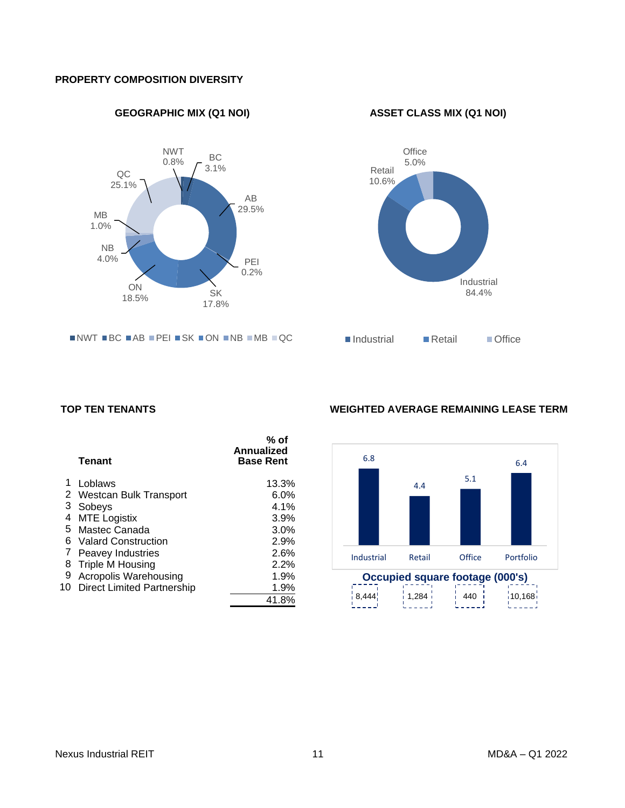## <span id="page-10-0"></span>**PROPERTY COMPOSITION DIVERSITY**

**GEOGRAPHIC MIX (Q1 NOI) ASSET CLASS MIX (Q1 NOI)**



 $\blacksquare$ NWT  $\blacksquare$ BC  $\blacksquare$ AB  $\blacksquare$ PEI  $\blacksquare$ SK  $\blacksquare$ ON  $\blacksquare$ NB  $\blacksquare$ QC



|                | <b>Tenant</b>                     | % of<br><b>Annualized</b><br><b>Base Rent</b> |
|----------------|-----------------------------------|-----------------------------------------------|
| 1              | Loblaws                           | 13.3%                                         |
| $\overline{2}$ | <b>Westcan Bulk Transport</b>     | 6.0%                                          |
| 3              | Sobeys                            | 4.1%                                          |
| 4              | <b>MTE Logistix</b>               | 3.9%                                          |
| 5              | Mastec Canada                     | 3.0%                                          |
| 6              | <b>Valard Construction</b>        | 2.9%                                          |
| 7              | <b>Peavey Industries</b>          | 2.6%                                          |
| 8              | Triple M Housing                  | 2.2%                                          |
| 9              | Acropolis Warehousing             | 1.9%                                          |
| 10 -           | <b>Direct Limited Partnership</b> | 1.9%                                          |
|                |                                   | 41.8%                                         |

## <span id="page-10-1"></span>**TOP TEN TENANTS WEIGHTED AVERAGE REMAINING LEASE TERM**

<span id="page-10-2"></span>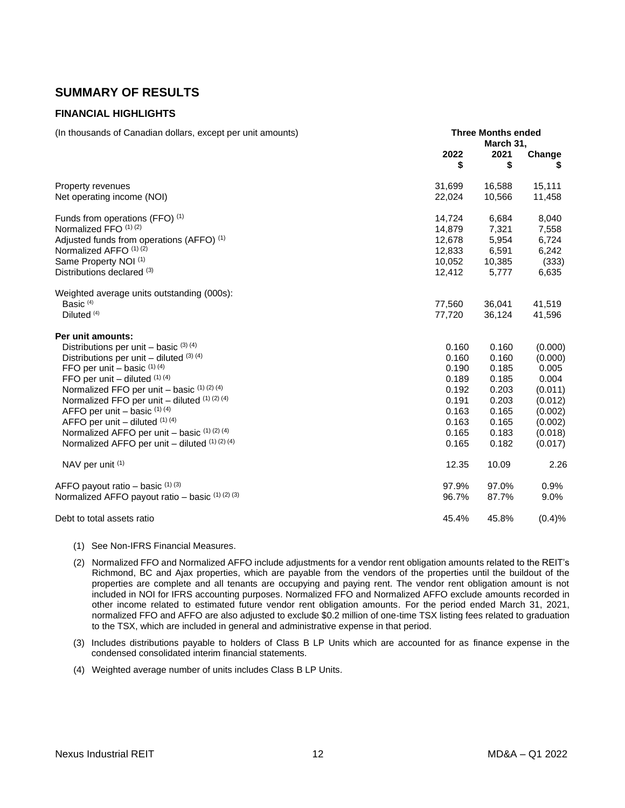## <span id="page-11-0"></span>**SUMMARY OF RESULTS**

## <span id="page-11-1"></span>**FINANCIAL HIGHLIGHTS**

| (In thousands of Canadian dollars, except per unit amounts) | <b>Three Months ended</b><br>March 31, |            |             |
|-------------------------------------------------------------|----------------------------------------|------------|-------------|
|                                                             | 2022<br>\$                             | 2021<br>\$ | Change<br>S |
| Property revenues                                           | 31,699                                 | 16,588     | 15,111      |
| Net operating income (NOI)                                  | 22,024                                 | 10,566     | 11,458      |
| Funds from operations (FFO) (1)                             | 14,724                                 | 6,684      | 8,040       |
| Normalized FFO (1) (2)                                      | 14,879                                 | 7,321      | 7,558       |
| Adjusted funds from operations (AFFO) <sup>(1)</sup>        | 12,678                                 | 5,954      | 6,724       |
| Normalized AFFO (1) (2)                                     | 12,833                                 | 6,591      | 6,242       |
| Same Property NOI (1)                                       | 10,052                                 | 10,385     | (333)       |
| Distributions declared (3)                                  | 12,412                                 | 5,777      | 6,635       |
| Weighted average units outstanding (000s):                  |                                        |            |             |
| Basic $(4)$                                                 | 77,560                                 | 36,041     | 41,519      |
| Diluted <sup>(4)</sup>                                      | 77,720                                 | 36,124     | 41,596      |
| Per unit amounts:                                           |                                        |            |             |
| Distributions per unit – basic $(3)$ $(4)$                  | 0.160                                  | 0.160      | (0.000)     |
| Distributions per unit – diluted $(3)$ $(4)$                | 0.160                                  | 0.160      | (0.000)     |
| FFO per unit $-$ basic $(1)$ $(4)$                          | 0.190                                  | 0.185      | 0.005       |
| FFO per unit $-$ diluted $(1)$ (4)                          | 0.189                                  | 0.185      | 0.004       |
| Normalized FFO per unit $-$ basic $(1)(2)(4)$               | 0.192                                  | 0.203      | (0.011)     |
| Normalized FFO per unit $-$ diluted $(1)$ $(2)$ $(4)$       | 0.191                                  | 0.203      | (0.012)     |
| AFFO per unit $-$ basic $(1)$ $(4)$                         | 0.163                                  | 0.165      | (0.002)     |
| AFFO per unit - diluted (1) (4)                             | 0.163                                  | 0.165      | (0.002)     |
| Normalized AFFO per unit $-$ basic $(1)$ $(2)$ $(4)$        | 0.165                                  | 0.183      | (0.018)     |
| Normalized AFFO per unit - diluted (1) (2) (4)              | 0.165                                  | 0.182      | (0.017)     |
| NAV per unit (1)                                            | 12.35                                  | 10.09      | 2.26        |
| AFFO payout ratio - basic (1) (3)                           | 97.9%                                  | 97.0%      | 0.9%        |
| Normalized AFFO payout ratio - basic (1) (2) (3)            | 96.7%                                  | 87.7%      | 9.0%        |
| Debt to total assets ratio                                  | 45.4%                                  | 45.8%      | (0.4)%      |

- (1) See Non-IFRS Financial Measures.
- (2) Normalized FFO and Normalized AFFO include adjustments for a vendor rent obligation amounts related to the REIT's Richmond, BC and Ajax properties, which are payable from the vendors of the properties until the buildout of the properties are complete and all tenants are occupying and paying rent. The vendor rent obligation amount is not included in NOI for IFRS accounting purposes. Normalized FFO and Normalized AFFO exclude amounts recorded in other income related to estimated future vendor rent obligation amounts. For the period ended March 31, 2021, normalized FFO and AFFO are also adjusted to exclude \$0.2 million of one-time TSX listing fees related to graduation to the TSX, which are included in general and administrative expense in that period.
- (3) Includes distributions payable to holders of Class B LP Units which are accounted for as finance expense in the condensed consolidated interim financial statements.
- (4) Weighted average number of units includes Class B LP Units.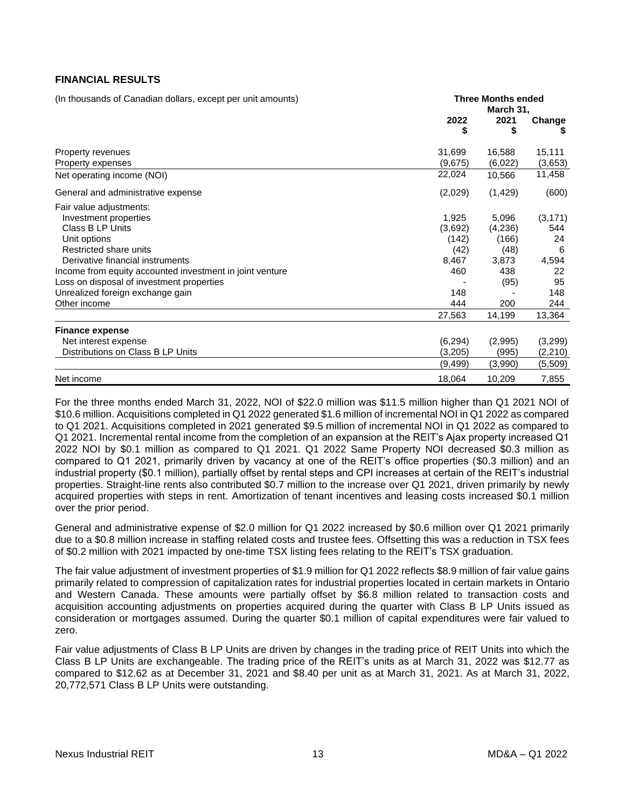## <span id="page-12-0"></span>**FINANCIAL RESULTS**

(In thousands of Canadian dollars, except per unit amounts) **Three Months ended**

|                                                          | March 31,  |            |          |
|----------------------------------------------------------|------------|------------|----------|
|                                                          | 2022<br>\$ | 2021<br>\$ | Change   |
| Property revenues                                        | 31,699     | 16,588     | 15,111   |
| Property expenses                                        | (9,675)    | (6,022)    | (3,653)  |
| Net operating income (NOI)                               | 22,024     | 10,566     | 11,458   |
| General and administrative expense                       | (2,029)    | (1, 429)   | (600)    |
| Fair value adjustments:                                  |            |            |          |
| Investment properties                                    | 1,925      | 5,096      | (3, 171) |
| Class B LP Units                                         | (3,692)    | (4,236)    | 544      |
| Unit options                                             | (142)      | (166)      | 24       |
| Restricted share units                                   | (42)       | (48)       | 6        |
| Derivative financial instruments                         | 8,467      | 3,873      | 4,594    |
| Income from equity accounted investment in joint venture | 460        | 438        | 22       |
| Loss on disposal of investment properties                |            | (95)       | 95       |
| Unrealized foreign exchange gain                         | 148        |            | 148      |
| Other income                                             | 444        | 200        | 244      |
|                                                          | 27,563     | 14,199     | 13,364   |
| <b>Finance expense</b>                                   |            |            |          |
| Net interest expense                                     | (6, 294)   | (2,995)    | (3,299)  |
| Distributions on Class B LP Units                        | (3,205)    | (995)      | (2, 210) |
|                                                          | (9,499)    | (3,990)    | (5,509)  |
| Net income                                               | 18,064     | 10,209     | 7,855    |

For the three months ended March 31, 2022, NOI of \$22.0 million was \$11.5 million higher than Q1 2021 NOI of \$10.6 million. Acquisitions completed in Q1 2022 generated \$1.6 million of incremental NOI in Q1 2022 as compared to Q1 2021. Acquisitions completed in 2021 generated \$9.5 million of incremental NOI in Q1 2022 as compared to Q1 2021. Incremental rental income from the completion of an expansion at the REIT's Ajax property increased Q1 2022 NOI by \$0.1 million as compared to Q1 2021. Q1 2022 Same Property NOI decreased \$0.3 million as compared to Q1 2021, primarily driven by vacancy at one of the REIT's office properties (\$0.3 million) and an industrial property (\$0.1 million), partially offset by rental steps and CPI increases at certain of the REIT's industrial properties. Straight-line rents also contributed \$0.7 million to the increase over Q1 2021, driven primarily by newly acquired properties with steps in rent. Amortization of tenant incentives and leasing costs increased \$0.1 million over the prior period.

General and administrative expense of \$2.0 million for Q1 2022 increased by \$0.6 million over Q1 2021 primarily due to a \$0.8 million increase in staffing related costs and trustee fees. Offsetting this was a reduction in TSX fees of \$0.2 million with 2021 impacted by one-time TSX listing fees relating to the REIT's TSX graduation.

The fair value adjustment of investment properties of \$1.9 million for Q1 2022 reflects \$8.9 million of fair value gains primarily related to compression of capitalization rates for industrial properties located in certain markets in Ontario and Western Canada. These amounts were partially offset by \$6.8 million related to transaction costs and acquisition accounting adjustments on properties acquired during the quarter with Class B LP Units issued as consideration or mortgages assumed. During the quarter \$0.1 million of capital expenditures were fair valued to zero.

Fair value adjustments of Class B LP Units are driven by changes in the trading price of REIT Units into which the Class B LP Units are exchangeable. The trading price of the REIT's units as at March 31, 2022 was \$12.77 as compared to \$12.62 as at December 31, 2021 and \$8.40 per unit as at March 31, 2021. As at March 31, 2022, 20,772,571 Class B LP Units were outstanding.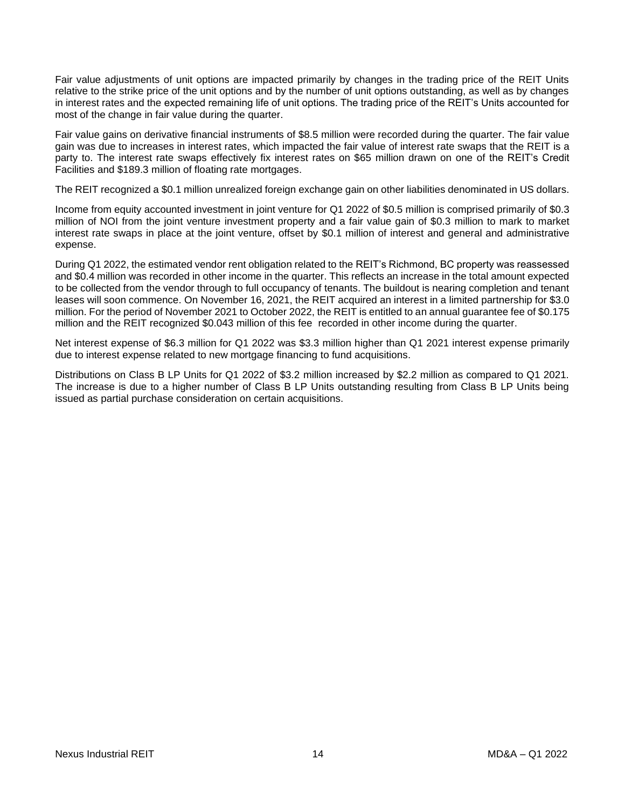Fair value adjustments of unit options are impacted primarily by changes in the trading price of the REIT Units relative to the strike price of the unit options and by the number of unit options outstanding, as well as by changes in interest rates and the expected remaining life of unit options. The trading price of the REIT's Units accounted for most of the change in fair value during the quarter.

Fair value gains on derivative financial instruments of \$8.5 million were recorded during the quarter. The fair value gain was due to increases in interest rates, which impacted the fair value of interest rate swaps that the REIT is a party to. The interest rate swaps effectively fix interest rates on \$65 million drawn on one of the REIT's Credit Facilities and \$189.3 million of floating rate mortgages.

The REIT recognized a \$0.1 million unrealized foreign exchange gain on other liabilities denominated in US dollars.

Income from equity accounted investment in joint venture for Q1 2022 of \$0.5 million is comprised primarily of \$0.3 million of NOI from the joint venture investment property and a fair value gain of \$0.3 million to mark to market interest rate swaps in place at the joint venture, offset by \$0.1 million of interest and general and administrative expense.

During Q1 2022, the estimated vendor rent obligation related to the REIT's Richmond, BC property was reassessed and \$0.4 million was recorded in other income in the quarter. This reflects an increase in the total amount expected to be collected from the vendor through to full occupancy of tenants. The buildout is nearing completion and tenant leases will soon commence. On November 16, 2021, the REIT acquired an interest in a limited partnership for \$3.0 million. For the period of November 2021 to October 2022, the REIT is entitled to an annual guarantee fee of \$0.175 million and the REIT recognized \$0.043 million of this fee recorded in other income during the quarter.

Net interest expense of \$6.3 million for Q1 2022 was \$3.3 million higher than Q1 2021 interest expense primarily due to interest expense related to new mortgage financing to fund acquisitions.

Distributions on Class B LP Units for Q1 2022 of \$3.2 million increased by \$2.2 million as compared to Q1 2021. The increase is due to a higher number of Class B LP Units outstanding resulting from Class B LP Units being issued as partial purchase consideration on certain acquisitions.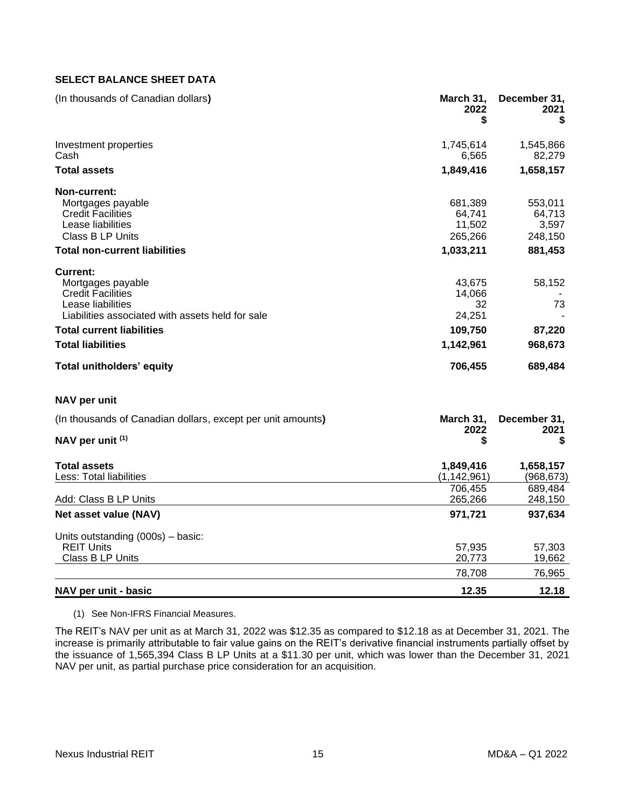## <span id="page-14-0"></span>**SELECT BALANCE SHEET DATA**

| (In thousands of Canadian dollars)                                                                                                                                                                 | March 31,<br>2022<br>S                                   | December 31,<br>2021<br>\$                       |
|----------------------------------------------------------------------------------------------------------------------------------------------------------------------------------------------------|----------------------------------------------------------|--------------------------------------------------|
| Investment properties<br>Cash                                                                                                                                                                      | 1,745,614<br>6,565                                       | 1,545,866<br>82,279                              |
| <b>Total assets</b>                                                                                                                                                                                | 1,849,416                                                | 1,658,157                                        |
| <b>Non-current:</b><br>Mortgages payable<br><b>Credit Facilities</b><br>Lease liabilities<br><b>Class B LP Units</b><br><b>Total non-current liabilities</b>                                       | 681,389<br>64.741<br>11,502<br>265,266<br>1,033,211      | 553,011<br>64,713<br>3,597<br>248,150<br>881,453 |
| Current:<br>Mortgages payable<br><b>Credit Facilities</b><br>Lease liabilities<br>Liabilities associated with assets held for sale<br><b>Total current liabilities</b><br><b>Total liabilities</b> | 43.675<br>14,066<br>32<br>24,251<br>109,750<br>1,142,961 | 58,152<br>73<br>87,220<br>968,673                |
| <b>Total unitholders' equity</b>                                                                                                                                                                   | 706,455                                                  | 689,484                                          |
| NAV per unit                                                                                                                                                                                       |                                                          |                                                  |
| (In thousands of Canadian dollars, except per unit amounts)                                                                                                                                        | March 31,                                                | December 31,                                     |

|                                   | 2022        | 2021      |
|-----------------------------------|-------------|-----------|
| NAV per unit (1)                  | \$          | \$        |
| <b>Total assets</b>               | 1,849,416   | 1,658,157 |
| Less: Total liabilities           | (1,142,961) | (968,673) |
|                                   | 706.455     | 689,484   |
| Add: Class B LP Units             | 265,266     | 248,150   |
| Net asset value (NAV)             | 971,721     | 937,634   |
| Units outstanding (000s) - basic: |             |           |
| <b>REIT Units</b>                 | 57,935      | 57,303    |
| Class B LP Units                  | 20,773      | 19,662    |
|                                   | 78,708      | 76,965    |
| NAV per unit - basic              | 12.35       | 12.18     |

(1) See Non-IFRS Financial Measures.

The REIT's NAV per unit as at March 31, 2022 was \$12.35 as compared to \$12.18 as at December 31, 2021. The increase is primarily attributable to fair value gains on the REIT's derivative financial instruments partially offset by the issuance of 1,565,394 Class B LP Units at a \$11.30 per unit, which was lower than the December 31, 2021 NAV per unit, as partial purchase price consideration for an acquisition.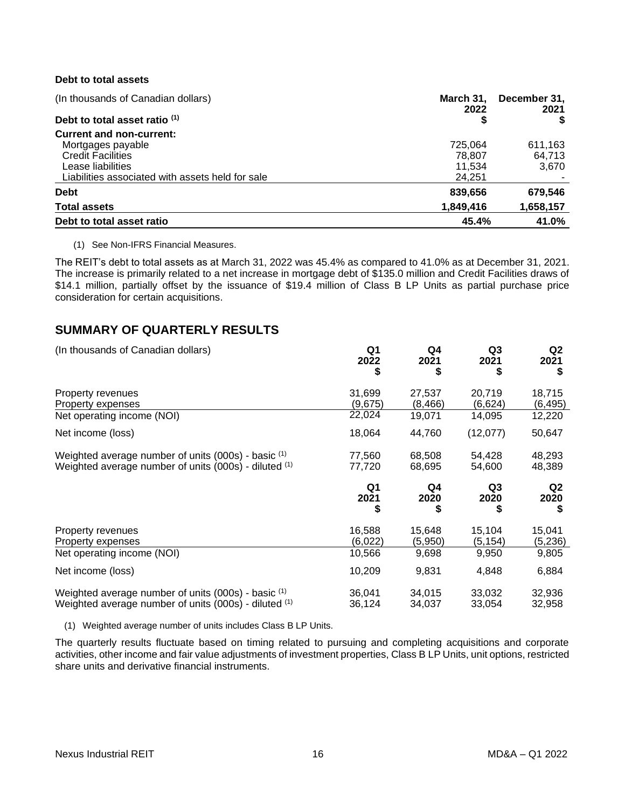## **Debt to total assets**

| (In thousands of Canadian dollars)               | March 31.<br>2022 | December 31,<br>2021 |
|--------------------------------------------------|-------------------|----------------------|
| Debt to total asset ratio (1)                    | \$                |                      |
| <b>Current and non-current:</b>                  |                   |                      |
| Mortgages payable                                | 725,064           | 611.163              |
| <b>Credit Facilities</b>                         | 78,807            | 64,713               |
| Lease liabilities                                | 11.534            | 3,670                |
| Liabilities associated with assets held for sale | 24,251            |                      |
| <b>Debt</b>                                      | 839,656           | 679,546              |
| <b>Total assets</b>                              | 1,849,416         | 1,658,157            |
| Debt to total asset ratio                        | 45.4%             | 41.0%                |

#### (1) See Non-IFRS Financial Measures.

The REIT's debt to total assets as at March 31, 2022 was 45.4% as compared to 41.0% as at December 31, 2021. The increase is primarily related to a net increase in mortgage debt of \$135.0 million and Credit Facilities draws of \$14.1 million, partially offset by the issuance of \$19.4 million of Class B LP Units as partial purchase price consideration for certain acquisitions.

## <span id="page-15-0"></span>**SUMMARY OF QUARTERLY RESULTS**

| (In thousands of Canadian dollars)                                                                               | Q <sub>1</sub><br>2022<br>\$ | Q4<br>2021<br>\$   | Q <sub>3</sub><br>2021<br>\$ | Q <sub>2</sub><br>2021<br>S |
|------------------------------------------------------------------------------------------------------------------|------------------------------|--------------------|------------------------------|-----------------------------|
| Property revenues<br>Property expenses                                                                           | 31,699<br>(9,675)            | 27,537<br>(8, 466) | 20,719<br>(6,624)            | 18,715<br>(6, 495)          |
| Net operating income (NOI)                                                                                       | 22,024                       | 19,071             | 14,095                       | 12,220                      |
| Net income (loss)                                                                                                | 18,064                       | 44,760             | (12,077)                     | 50,647                      |
| Weighted average number of units $(000s)$ - basic $(1)$<br>Weighted average number of units (000s) - diluted (1) | 77,560<br>77,720             | 68,508<br>68,695   | 54,428<br>54,600             | 48,293<br>48,389            |
|                                                                                                                  | Q1                           | Q4                 | Q3                           | Q <sub>2</sub>              |
|                                                                                                                  | 2021<br>\$                   | 2020               | 2020                         | 2020<br>S                   |
| Property revenues<br>Property expenses                                                                           | 16,588<br>(6,022)            | 15,648<br>(5,950)  | 15,104<br>(5,154)            | 15,041<br>(5,236)           |
| Net operating income (NOI)                                                                                       | 10,566                       | 9,698              | 9,950                        | 9,805                       |
| Net income (loss)                                                                                                | 10,209                       | 9,831              | 4,848                        | 6,884                       |

(1) Weighted average number of units includes Class B LP Units.

The quarterly results fluctuate based on timing related to pursuing and completing acquisitions and corporate activities, other income and fair value adjustments of investment properties, Class B LP Units, unit options, restricted share units and derivative financial instruments.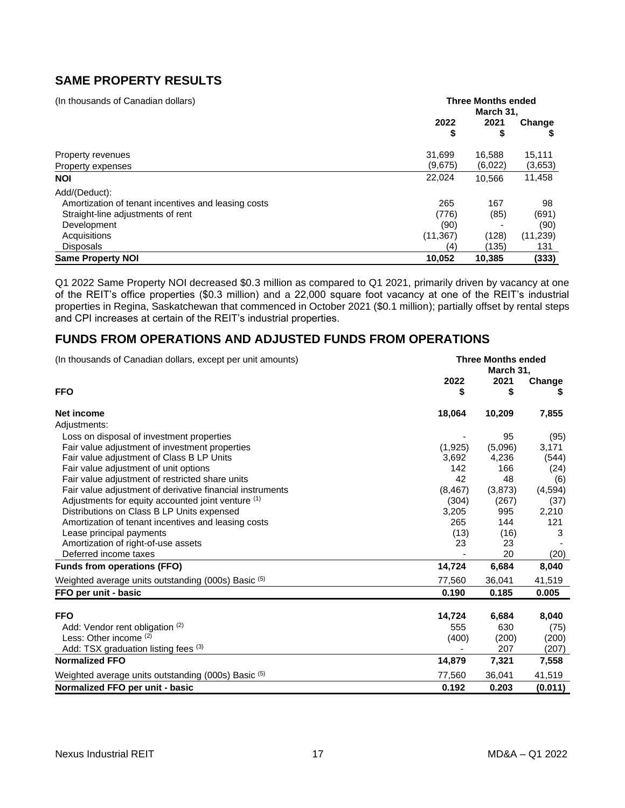# <span id="page-16-0"></span>**SAME PROPERTY RESULTS**

| (In thousands of Canadian dollars)                  | <b>Three Months ended</b><br>March 31. |            |           |  |
|-----------------------------------------------------|----------------------------------------|------------|-----------|--|
|                                                     | 2022<br>\$                             | 2021<br>\$ | Change    |  |
| Property revenues                                   | 31.699                                 | 16,588     | 15,111    |  |
| Property expenses                                   | (9,675)                                | (6,022)    | (3,653)   |  |
| <b>NOI</b>                                          | 22,024                                 | 10.566     | 11,458    |  |
| Add/(Deduct):                                       |                                        |            |           |  |
| Amortization of tenant incentives and leasing costs | 265                                    | 167        | 98        |  |
| Straight-line adjustments of rent                   | (776)                                  | (85)       | (691)     |  |
| Development                                         | (90)                                   |            | (90)      |  |
| Acquisitions                                        | (11, 367)                              | (128)      | (11, 239) |  |
| <b>Disposals</b>                                    | (4)                                    | (135)      | 131       |  |
| <b>Same Property NOI</b>                            | 10,052                                 | 10,385     | (333)     |  |

Q1 2022 Same Property NOI decreased \$0.3 million as compared to Q1 2021, primarily driven by vacancy at one of the REIT's office properties (\$0.3 million) and a 22,000 square foot vacancy at one of the REIT's industrial properties in Regina, Saskatchewan that commenced in October 2021 (\$0.1 million); partially offset by rental steps and CPI increases at certain of the REIT's industrial properties.

## <span id="page-16-1"></span>**FUNDS FROM OPERATIONS AND ADJUSTED FUNDS FROM OPERATIONS**

| (In thousands of Canadian dollars, except per unit amounts) | <b>Three Months ended</b><br>March 31, |            |             |  |  |
|-------------------------------------------------------------|----------------------------------------|------------|-------------|--|--|
| <b>FFO</b>                                                  | 2022<br>\$                             | 2021<br>\$ | Change<br>S |  |  |
| Net income                                                  | 18,064                                 | 10,209     | 7,855       |  |  |
| Adjustments:                                                |                                        |            |             |  |  |
| Loss on disposal of investment properties                   |                                        | 95         | (95)        |  |  |
| Fair value adjustment of investment properties              | (1,925)                                | (5,096)    | 3,171       |  |  |
| Fair value adjustment of Class B LP Units                   | 3,692                                  | 4,236      | (544)       |  |  |
| Fair value adjustment of unit options                       | 142                                    | 166        | (24)        |  |  |
| Fair value adjustment of restricted share units             | 42                                     | 48         | (6)         |  |  |
| Fair value adjustment of derivative financial instruments   | (8, 467)                               | (3,873)    | (4, 594)    |  |  |
| Adjustments for equity accounted joint venture (1)          | (304)                                  | (267)      | (37)        |  |  |
| Distributions on Class B LP Units expensed                  | 3,205                                  | 995        | 2,210       |  |  |
| Amortization of tenant incentives and leasing costs         | 265                                    | 144        | 121         |  |  |
| Lease principal payments                                    | (13)                                   | (16)       | 3           |  |  |
| Amortization of right-of-use assets                         | 23                                     | 23         |             |  |  |
| Deferred income taxes                                       |                                        | 20         | (20)        |  |  |
| <b>Funds from operations (FFO)</b>                          | 14,724                                 | 6,684      | 8,040       |  |  |
| Weighted average units outstanding (000s) Basic (5)         | 77,560                                 | 36,041     | 41,519      |  |  |
| FFO per unit - basic                                        | 0.190                                  | 0.185      | 0.005       |  |  |
| <b>FFO</b>                                                  | 14,724                                 | 6,684      | 8,040       |  |  |
| Add: Vendor rent obligation (2)                             | 555                                    | 630        | (75)        |  |  |
| Less: Other income (2)                                      | (400)                                  | (200)      | (200)       |  |  |
| Add: TSX graduation listing fees (3)                        |                                        | 207        | (207)       |  |  |
| <b>Normalized FFO</b>                                       | 14,879                                 | 7,321      | 7,558       |  |  |
| Weighted average units outstanding (000s) Basic (5)         | 77,560                                 | 36,041     | 41,519      |  |  |
| Normalized FFO per unit - basic                             | 0.192                                  | 0.203      | (0.011)     |  |  |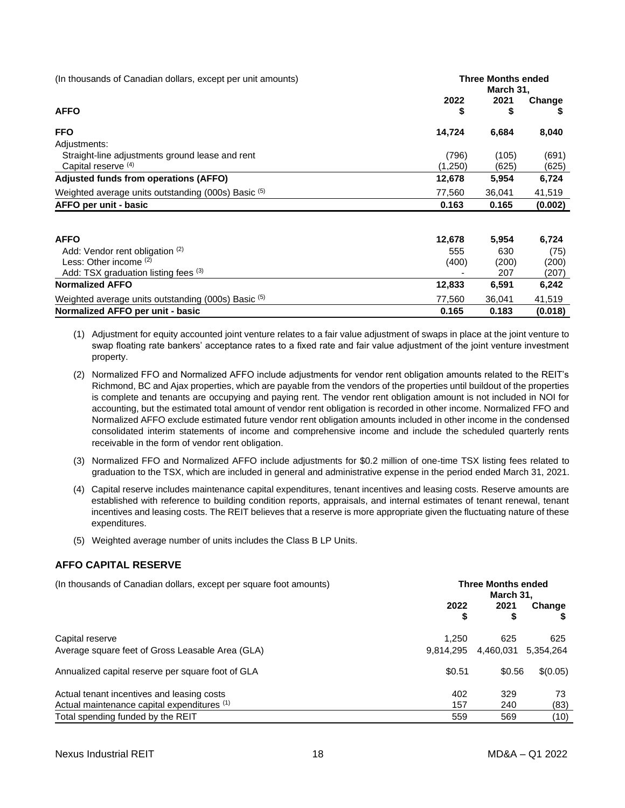| (In thousands of Canadian dollars, except per unit amounts) | <b>Three Months ended</b><br>March 31, |           |             |  |
|-------------------------------------------------------------|----------------------------------------|-----------|-------------|--|
| <b>AFFO</b>                                                 | 2022<br>\$                             | 2021<br>S | Change<br>P |  |
| <b>FFO</b>                                                  | 14,724                                 | 6,684     | 8,040       |  |
| Adjustments:                                                |                                        |           |             |  |
| Straight-line adjustments ground lease and rent             | (796)                                  | (105)     | (691)       |  |
| Capital reserve (4)                                         | (1,250)                                | (625)     | (625)       |  |
| Adjusted funds from operations (AFFO)                       | 12,678                                 | 5,954     | 6,724       |  |
| Weighted average units outstanding (000s) Basic (5)         | 77,560                                 | 36,041    | 41,519      |  |
| AFFO per unit - basic                                       | 0.163                                  | 0.165     | (0.002)     |  |
| <b>AFFO</b>                                                 | 12,678                                 | 5,954     | 6,724       |  |
| Add: Vendor rent obligation (2)                             | 555                                    | 630       | (75)        |  |
| Less: Other income (2)                                      | (400)                                  | (200)     | (200)       |  |
| Add: TSX graduation listing fees (3)                        |                                        | 207       | (207)       |  |
| <b>Normalized AFFO</b>                                      | 12,833                                 | 6,591     | 6,242       |  |

(1) Adjustment for equity accounted joint venture relates to a fair value adjustment of swaps in place at the joint venture to swap floating rate bankers' acceptance rates to a fixed rate and fair value adjustment of the joint venture investment property.

Weighted average units outstanding (000s) Basic (5) Metal and Manuscript and Manuscript and Manuscript and Manuscript and Manuscript and Manuscript and Manuscript and Manuscript and Manuscript and Manuscript and Manuscript **Normalized AFFO per unit - basic 0.165 0.183 (0.018)** 

- (2) Normalized FFO and Normalized AFFO include adjustments for vendor rent obligation amounts related to the REIT's Richmond, BC and Ajax properties, which are payable from the vendors of the properties until buildout of the properties is complete and tenants are occupying and paying rent. The vendor rent obligation amount is not included in NOI for accounting, but the estimated total amount of vendor rent obligation is recorded in other income. Normalized FFO and Normalized AFFO exclude estimated future vendor rent obligation amounts included in other income in the condensed consolidated interim statements of income and comprehensive income and include the scheduled quarterly rents receivable in the form of vendor rent obligation.
- (3) Normalized FFO and Normalized AFFO include adjustments for \$0.2 million of one-time TSX listing fees related to graduation to the TSX, which are included in general and administrative expense in the period ended March 31, 2021.
- (4) Capital reserve includes maintenance capital expenditures, tenant incentives and leasing costs. Reserve amounts are established with reference to building condition reports, appraisals, and internal estimates of tenant renewal, tenant incentives and leasing costs. The REIT believes that a reserve is more appropriate given the fluctuating nature of these expenditures.
- (5) Weighted average number of units includes the Class B LP Units.

### <span id="page-17-0"></span>**AFFO CAPITAL RESERVE**

(In thousands of Canadian dollars, except per square foot amounts) **Three Months ended**

|                                                   | March 31. |           |           |  |
|---------------------------------------------------|-----------|-----------|-----------|--|
|                                                   | 2022      | 2021      | Change    |  |
|                                                   | \$        | \$        |           |  |
| Capital reserve                                   | 1.250     | 625       | 625       |  |
| Average square feet of Gross Leasable Area (GLA)  | 9.814.295 | 4,460,031 | 5,354,264 |  |
| Annualized capital reserve per square foot of GLA | \$0.51    | \$0.56    | \$(0.05)  |  |
| Actual tenant incentives and leasing costs        | 402       | 329       | 73        |  |
| Actual maintenance capital expenditures (1)       | 157       | 240       | (83)      |  |
| Total spending funded by the REIT                 | 559       | 569       | (10)      |  |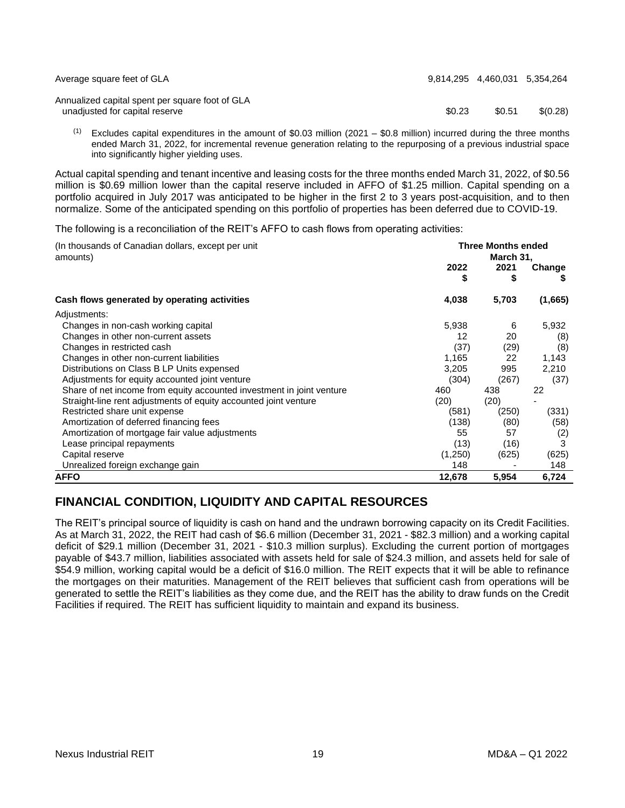| Average square feet of GLA                                                        | 9.814.295 4.460.031 5.354.264 |        |          |
|-----------------------------------------------------------------------------------|-------------------------------|--------|----------|
| Annualized capital spent per square foot of GLA<br>unadjusted for capital reserve | \$0.23                        | \$0.51 | \$(0.28) |

 $(1)$  Excludes capital expenditures in the amount of \$0.03 million (2021 – \$0.8 million) incurred during the three months ended March 31, 2022, for incremental revenue generation relating to the repurposing of a previous industrial space into significantly higher yielding uses.

Actual capital spending and tenant incentive and leasing costs for the three months ended March 31, 2022, of \$0.56 million is \$0.69 million lower than the capital reserve included in AFFO of \$1.25 million. Capital spending on a portfolio acquired in July 2017 was anticipated to be higher in the first 2 to 3 years post-acquisition, and to then normalize. Some of the anticipated spending on this portfolio of properties has been deferred due to COVID-19.

The following is a reconciliation of the REIT's AFFO to cash flows from operating activities:

| (In thousands of Canadian dollars, except per unit<br>amounts)        | <b>Three Months ended</b><br>March 31, |            |              |  |
|-----------------------------------------------------------------------|----------------------------------------|------------|--------------|--|
|                                                                       | 2022<br>S                              | 2021<br>\$ | Change<br>æ. |  |
| Cash flows generated by operating activities                          | 4,038                                  | 5,703      | (1,665)      |  |
| Adjustments:                                                          |                                        |            |              |  |
| Changes in non-cash working capital                                   | 5,938                                  | 6          | 5,932        |  |
| Changes in other non-current assets                                   | 12                                     | 20         | (8)          |  |
| Changes in restricted cash                                            | (37)                                   | (29)       | (8)          |  |
| Changes in other non-current liabilities                              | 1,165                                  | 22         | 1,143        |  |
| Distributions on Class B LP Units expensed                            | 3,205                                  | 995        | 2,210        |  |
| Adjustments for equity accounted joint venture                        | (304)                                  | (267)      | (37)         |  |
| Share of net income from equity accounted investment in joint venture | 460                                    | 438        | 22           |  |
| Straight-line rent adjustments of equity accounted joint venture      | (20)                                   | (20)       |              |  |
| Restricted share unit expense                                         | (581)                                  | (250)      | (331)        |  |
| Amortization of deferred financing fees                               | (138)                                  | (80)       | (58)         |  |
| Amortization of mortgage fair value adjustments                       | 55                                     | 57         | (2)          |  |
| Lease principal repayments                                            | (13)                                   | (16)       | 3            |  |
| Capital reserve                                                       | (1,250)                                | (625)      | (625)        |  |
| Unrealized foreign exchange gain                                      | 148                                    |            | 148          |  |
| <b>AFFO</b>                                                           | 12,678                                 | 5,954      | 6,724        |  |

# <span id="page-18-0"></span>**FINANCIAL CONDITION, LIQUIDITY AND CAPITAL RESOURCES**

The REIT's principal source of liquidity is cash on hand and the undrawn borrowing capacity on its Credit Facilities. As at March 31, 2022, the REIT had cash of \$6.6 million (December 31, 2021 - \$82.3 million) and a working capital deficit of \$29.1 million (December 31, 2021 - \$10.3 million surplus). Excluding the current portion of mortgages payable of \$43.7 million, liabilities associated with assets held for sale of \$24.3 million, and assets held for sale of \$54.9 million, working capital would be a deficit of \$16.0 million. The REIT expects that it will be able to refinance the mortgages on their maturities. Management of the REIT believes that sufficient cash from operations will be generated to settle the REIT's liabilities as they come due, and the REIT has the ability to draw funds on the Credit Facilities if required. The REIT has sufficient liquidity to maintain and expand its business.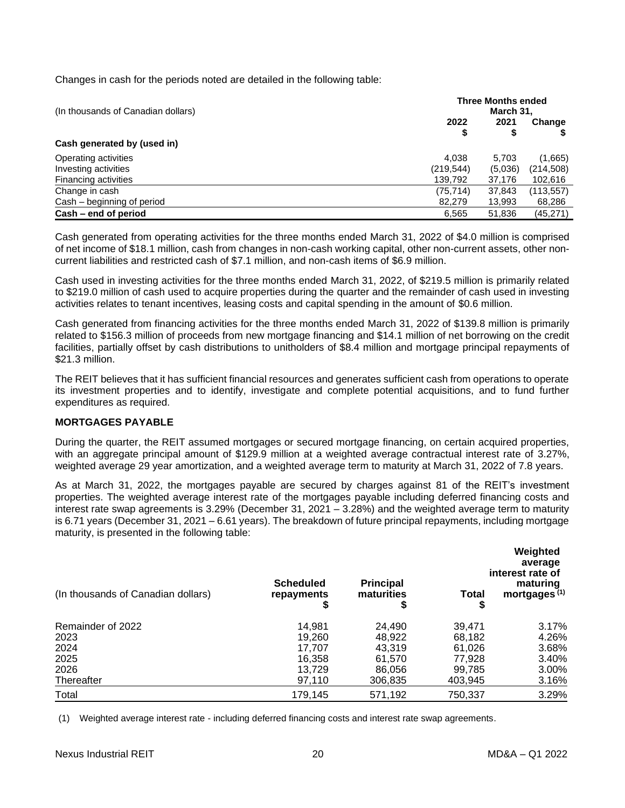Changes in cash for the periods noted are detailed in the following table:

| (In thousands of Canadian dollars) | <b>Three Months ended</b><br>March 31, |           |            |  |
|------------------------------------|----------------------------------------|-----------|------------|--|
|                                    | 2022<br>\$                             | 2021<br>S | Change     |  |
| Cash generated by (used in)        |                                        |           |            |  |
| Operating activities               | 4.038                                  | 5.703     | (1,665)    |  |
| Investing activities               | (219,544)                              | (5,036)   | (214, 508) |  |
| <b>Financing activities</b>        | 139,792                                | 37,176    | 102,616    |  |
| Change in cash                     | (75,714)                               | 37,843    | (113,557)  |  |
| Cash – beginning of period         | 82,279                                 | 13,993    | 68,286     |  |
| Cash – end of period               | 6,565                                  | 51,836    | (45, 271)  |  |

Cash generated from operating activities for the three months ended March 31, 2022 of \$4.0 million is comprised of net income of \$18.1 million, cash from changes in non-cash working capital, other non-current assets, other noncurrent liabilities and restricted cash of \$7.1 million, and non-cash items of \$6.9 million.

Cash used in investing activities for the three months ended March 31, 2022, of \$219.5 million is primarily related to \$219.0 million of cash used to acquire properties during the quarter and the remainder of cash used in investing activities relates to tenant incentives, leasing costs and capital spending in the amount of \$0.6 million.

Cash generated from financing activities for the three months ended March 31, 2022 of \$139.8 million is primarily related to \$156.3 million of proceeds from new mortgage financing and \$14.1 million of net borrowing on the credit facilities, partially offset by cash distributions to unitholders of \$8.4 million and mortgage principal repayments of \$21.3 million.

The REIT believes that it has sufficient financial resources and generates sufficient cash from operations to operate its investment properties and to identify, investigate and complete potential acquisitions, and to fund further expenditures as required.

## <span id="page-19-0"></span>**MORTGAGES PAYABLE**

During the quarter, the REIT assumed mortgages or secured mortgage financing, on certain acquired properties, with an aggregate principal amount of \$129.9 million at a weighted average contractual interest rate of 3.27%, weighted average 29 year amortization, and a weighted average term to maturity at March 31, 2022 of 7.8 years.

As at March 31, 2022, the mortgages payable are secured by charges against 81 of the REIT's investment properties. The weighted average interest rate of the mortgages payable including deferred financing costs and interest rate swap agreements is 3.29% (December 31, 2021 – 3.28%) and the weighted average term to maturity is 6.71 years (December 31, 2021 – 6.61 years). The breakdown of future principal repayments, including mortgage maturity, is presented in the following table:

| (In thousands of Canadian dollars) | <b>Scheduled</b><br>repayments<br>\$ | <b>Principal</b><br>maturities<br>\$ | Total<br>\$ | Weighted<br>average<br>interest rate of<br>maturing<br>mortgages <sup>(1)</sup> |
|------------------------------------|--------------------------------------|--------------------------------------|-------------|---------------------------------------------------------------------------------|
| Remainder of 2022                  | 14,981                               | 24,490                               | 39.471      | 3.17%                                                                           |
| 2023                               | 19.260                               | 48.922                               | 68,182      | 4.26%                                                                           |
| 2024                               | 17.707                               | 43,319                               | 61,026      | 3.68%                                                                           |
| 2025                               | 16,358                               | 61,570                               | 77.928      | 3.40%                                                                           |
| 2026                               | 13,729                               | 86,056                               | 99,785      | 3.00%                                                                           |
| Thereafter                         | 97.110                               | 306,835                              | 403.945     | 3.16%                                                                           |
| Total                              | 179.145                              | 571,192                              | 750,337     | 3.29%                                                                           |

(1) Weighted average interest rate - including deferred financing costs and interest rate swap agreements.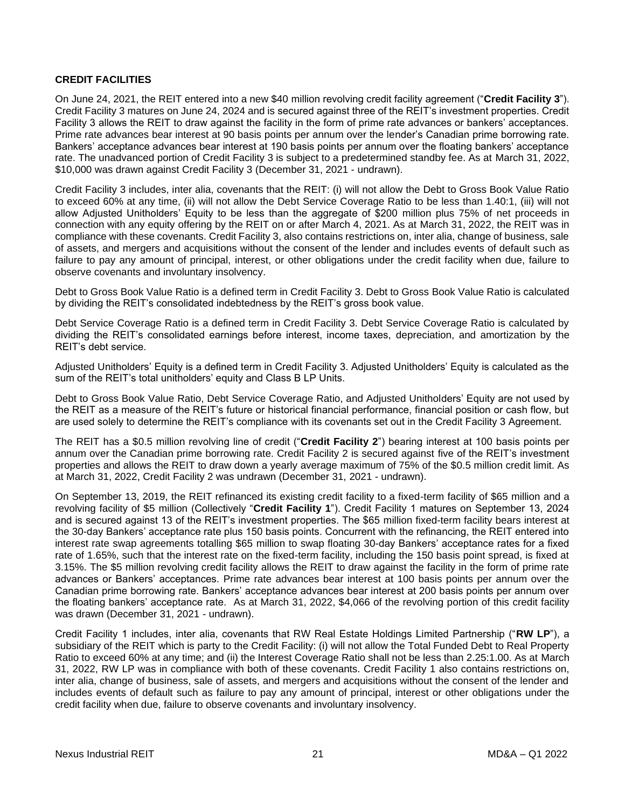### <span id="page-20-0"></span>**CREDIT FACILITIES**

On June 24, 2021, the REIT entered into a new \$40 million revolving credit facility agreement ("**Credit Facility 3**"). Credit Facility 3 matures on June 24, 2024 and is secured against three of the REIT's investment properties. Credit Facility 3 allows the REIT to draw against the facility in the form of prime rate advances or bankers' acceptances. Prime rate advances bear interest at 90 basis points per annum over the lender's Canadian prime borrowing rate. Bankers' acceptance advances bear interest at 190 basis points per annum over the floating bankers' acceptance rate. The unadvanced portion of Credit Facility 3 is subject to a predetermined standby fee. As at March 31, 2022, \$10,000 was drawn against Credit Facility 3 (December 31, 2021 - undrawn).

Credit Facility 3 includes, inter alia, covenants that the REIT: (i) will not allow the Debt to Gross Book Value Ratio to exceed 60% at any time, (ii) will not allow the Debt Service Coverage Ratio to be less than 1.40:1, (iii) will not allow Adjusted Unitholders' Equity to be less than the aggregate of \$200 million plus 75% of net proceeds in connection with any equity offering by the REIT on or after March 4, 2021. As at March 31, 2022, the REIT was in compliance with these covenants. Credit Facility 3, also contains restrictions on, inter alia, change of business, sale of assets, and mergers and acquisitions without the consent of the lender and includes events of default such as failure to pay any amount of principal, interest, or other obligations under the credit facility when due, failure to observe covenants and involuntary insolvency.

Debt to Gross Book Value Ratio is a defined term in Credit Facility 3. Debt to Gross Book Value Ratio is calculated by dividing the REIT's consolidated indebtedness by the REIT's gross book value.

Debt Service Coverage Ratio is a defined term in Credit Facility 3. Debt Service Coverage Ratio is calculated by dividing the REIT's consolidated earnings before interest, income taxes, depreciation, and amortization by the REIT's debt service.

Adjusted Unitholders' Equity is a defined term in Credit Facility 3. Adjusted Unitholders' Equity is calculated as the sum of the REIT's total unitholders' equity and Class B LP Units.

Debt to Gross Book Value Ratio, Debt Service Coverage Ratio, and Adjusted Unitholders' Equity are not used by the REIT as a measure of the REIT's future or historical financial performance, financial position or cash flow, but are used solely to determine the REIT's compliance with its covenants set out in the Credit Facility 3 Agreement.

The REIT has a \$0.5 million revolving line of credit ("**Credit Facility 2**") bearing interest at 100 basis points per annum over the Canadian prime borrowing rate. Credit Facility 2 is secured against five of the REIT's investment properties and allows the REIT to draw down a yearly average maximum of 75% of the \$0.5 million credit limit. As at March 31, 2022, Credit Facility 2 was undrawn (December 31, 2021 - undrawn).

On September 13, 2019, the REIT refinanced its existing credit facility to a fixed-term facility of \$65 million and a revolving facility of \$5 million (Collectively "**Credit Facility 1**"). Credit Facility 1 matures on September 13, 2024 and is secured against 13 of the REIT's investment properties. The \$65 million fixed-term facility bears interest at the 30-day Bankers' acceptance rate plus 150 basis points. Concurrent with the refinancing, the REIT entered into interest rate swap agreements totalling \$65 million to swap floating 30-day Bankers' acceptance rates for a fixed rate of 1.65%, such that the interest rate on the fixed-term facility, including the 150 basis point spread, is fixed at 3.15%. The \$5 million revolving credit facility allows the REIT to draw against the facility in the form of prime rate advances or Bankers' acceptances. Prime rate advances bear interest at 100 basis points per annum over the Canadian prime borrowing rate. Bankers' acceptance advances bear interest at 200 basis points per annum over the floating bankers' acceptance rate. As at March 31, 2022, \$4,066 of the revolving portion of this credit facility was drawn (December 31, 2021 - undrawn).

Credit Facility 1 includes, inter alia, covenants that RW Real Estate Holdings Limited Partnership ("**RW LP**"), a subsidiary of the REIT which is party to the Credit Facility: (i) will not allow the Total Funded Debt to Real Property Ratio to exceed 60% at any time; and (ii) the Interest Coverage Ratio shall not be less than 2.25:1.00. As at March 31, 2022, RW LP was in compliance with both of these covenants. Credit Facility 1 also contains restrictions on, inter alia, change of business, sale of assets, and mergers and acquisitions without the consent of the lender and includes events of default such as failure to pay any amount of principal, interest or other obligations under the credit facility when due, failure to observe covenants and involuntary insolvency.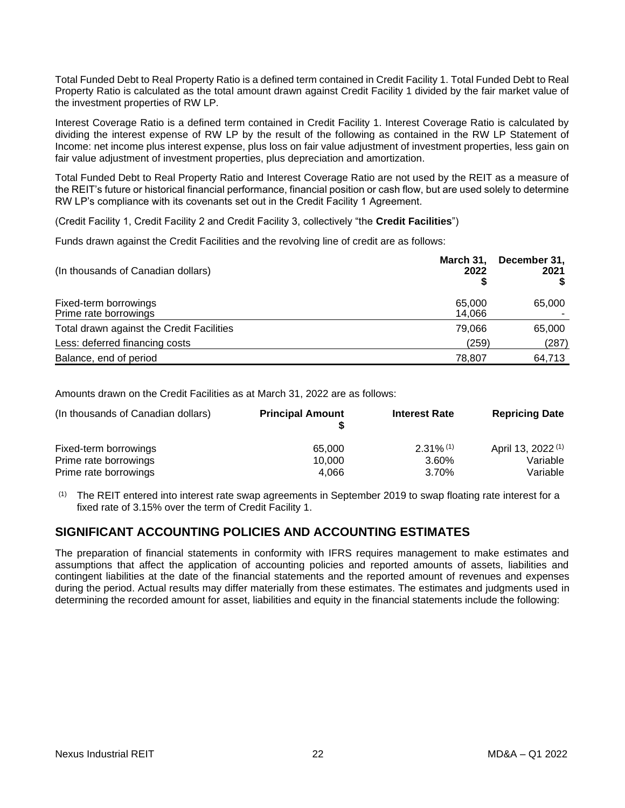Total Funded Debt to Real Property Ratio is a defined term contained in Credit Facility 1. Total Funded Debt to Real Property Ratio is calculated as the total amount drawn against Credit Facility 1 divided by the fair market value of the investment properties of RW LP.

Interest Coverage Ratio is a defined term contained in Credit Facility 1. Interest Coverage Ratio is calculated by dividing the interest expense of RW LP by the result of the following as contained in the RW LP Statement of Income: net income plus interest expense, plus loss on fair value adjustment of investment properties, less gain on fair value adjustment of investment properties, plus depreciation and amortization.

Total Funded Debt to Real Property Ratio and Interest Coverage Ratio are not used by the REIT as a measure of the REIT's future or historical financial performance, financial position or cash flow, but are used solely to determine RW LP's compliance with its covenants set out in the Credit Facility 1 Agreement.

(Credit Facility 1, Credit Facility 2 and Credit Facility 3, collectively "the **Credit Facilities**")

Funds drawn against the Credit Facilities and the revolving line of credit are as follows:

| (In thousands of Canadian dollars)             | March 31,<br>2022 | December 31,<br>2021 |
|------------------------------------------------|-------------------|----------------------|
| Fixed-term borrowings<br>Prime rate borrowings | 65,000<br>14,066  | 65,000               |
| Total drawn against the Credit Facilities      | 79,066            | 65,000               |
| Less: deferred financing costs                 | (259)             | (287)                |
| Balance, end of period                         | 78,807            | 64,713               |

Amounts drawn on the Credit Facilities as at March 31, 2022 are as follows:

| (In thousands of Canadian dollars) | <b>Principal Amount</b> | <b>Interest Rate</b>    | <b>Repricing Date</b>         |
|------------------------------------|-------------------------|-------------------------|-------------------------------|
| Fixed-term borrowings              | 65,000                  | $2.31\%$ <sup>(1)</sup> | April 13, 2022 <sup>(1)</sup> |
| Prime rate borrowings              | 10.000                  | 3.60%                   | Variable                      |
| Prime rate borrowings              | 4.066                   | 3.70%                   | Variable                      |

 $(1)$  The REIT entered into interest rate swap agreements in September 2019 to swap floating rate interest for a fixed rate of 3.15% over the term of Credit Facility 1.

## <span id="page-21-0"></span>**SIGNIFICANT ACCOUNTING POLICIES AND ACCOUNTING ESTIMATES**

The preparation of financial statements in conformity with IFRS requires management to make estimates and assumptions that affect the application of accounting policies and reported amounts of assets, liabilities and contingent liabilities at the date of the financial statements and the reported amount of revenues and expenses during the period. Actual results may differ materially from these estimates. The estimates and judgments used in determining the recorded amount for asset, liabilities and equity in the financial statements include the following: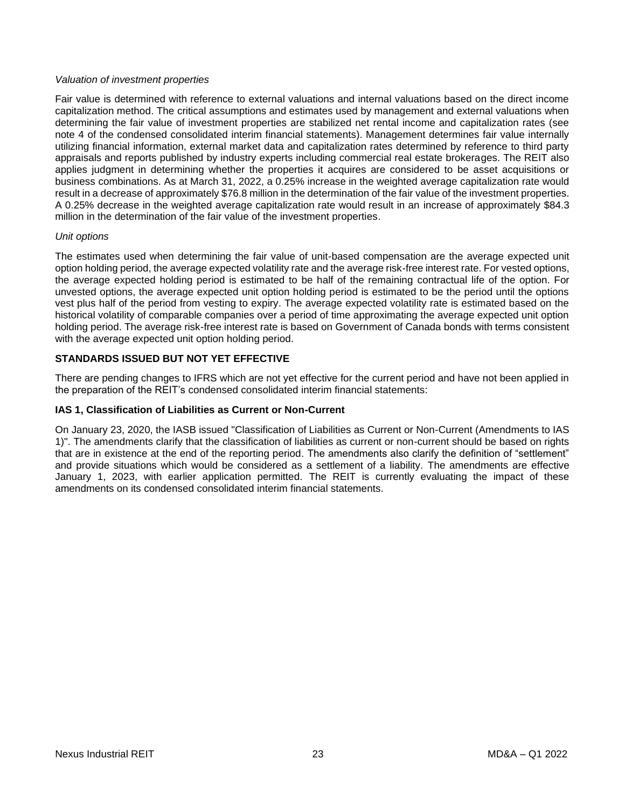### *Valuation of investment properties*

Fair value is determined with reference to external valuations and internal valuations based on the direct income capitalization method. The critical assumptions and estimates used by management and external valuations when determining the fair value of investment properties are stabilized net rental income and capitalization rates (see note 4 of the condensed consolidated interim financial statements). Management determines fair value internally utilizing financial information, external market data and capitalization rates determined by reference to third party appraisals and reports published by industry experts including commercial real estate brokerages. The REIT also applies judgment in determining whether the properties it acquires are considered to be asset acquisitions or business combinations. As at March 31, 2022, a 0.25% increase in the weighted average capitalization rate would result in a decrease of approximately \$76.8 million in the determination of the fair value of the investment properties. A 0.25% decrease in the weighted average capitalization rate would result in an increase of approximately \$84.3 million in the determination of the fair value of the investment properties.

#### *Unit options*

The estimates used when determining the fair value of unit-based compensation are the average expected unit option holding period, the average expected volatility rate and the average risk-free interest rate. For vested options, the average expected holding period is estimated to be half of the remaining contractual life of the option. For unvested options, the average expected unit option holding period is estimated to be the period until the options vest plus half of the period from vesting to expiry. The average expected volatility rate is estimated based on the historical volatility of comparable companies over a period of time approximating the average expected unit option holding period. The average risk-free interest rate is based on Government of Canada bonds with terms consistent with the average expected unit option holding period.

### <span id="page-22-0"></span>**STANDARDS ISSUED BUT NOT YET EFFECTIVE**

There are pending changes to IFRS which are not yet effective for the current period and have not been applied in the preparation of the REIT's condensed consolidated interim financial statements:

### **IAS 1, Classification of Liabilities as Current or Non-Current**

<span id="page-22-1"></span>On January 23, 2020, the IASB issued "Classification of Liabilities as Current or Non-Current (Amendments to IAS 1)". The amendments clarify that the classification of liabilities as current or non-current should be based on rights that are in existence at the end of the reporting period. The amendments also clarify the definition of "settlement" and provide situations which would be considered as a settlement of a liability. The amendments are effective January 1, 2023, with earlier application permitted. The REIT is currently evaluating the impact of these amendments on its condensed consolidated interim financial statements.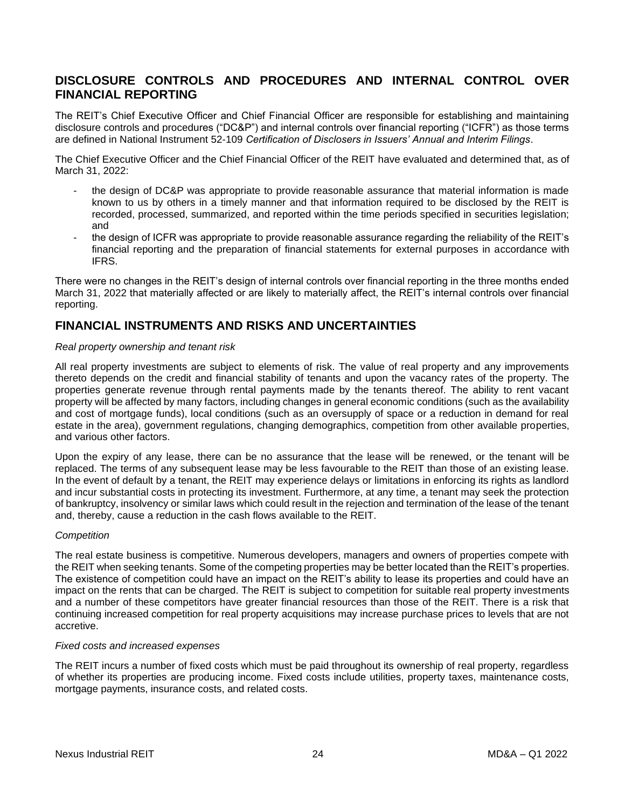## **DISCLOSURE CONTROLS AND PROCEDURES AND INTERNAL CONTROL OVER FINANCIAL REPORTING**

The REIT's Chief Executive Officer and Chief Financial Officer are responsible for establishing and maintaining disclosure controls and procedures ("DC&P") and internal controls over financial reporting ("ICFR") as those terms are defined in National Instrument 52-109 *Certification of Disclosers in Issuers' Annual and Interim Filings*.

The Chief Executive Officer and the Chief Financial Officer of the REIT have evaluated and determined that, as of March 31, 2022:

- the design of DC&P was appropriate to provide reasonable assurance that material information is made known to us by others in a timely manner and that information required to be disclosed by the REIT is recorded, processed, summarized, and reported within the time periods specified in securities legislation; and
- the design of ICFR was appropriate to provide reasonable assurance regarding the reliability of the REIT's financial reporting and the preparation of financial statements for external purposes in accordance with IFRS.

There were no changes in the REIT's design of internal controls over financial reporting in the three months ended March 31, 2022 that materially affected or are likely to materially affect, the REIT's internal controls over financial reporting.

## <span id="page-23-0"></span>**FINANCIAL INSTRUMENTS AND RISKS AND UNCERTAINTIES**

#### *Real property ownership and tenant risk*

All real property investments are subject to elements of risk. The value of real property and any improvements thereto depends on the credit and financial stability of tenants and upon the vacancy rates of the property. The properties generate revenue through rental payments made by the tenants thereof. The ability to rent vacant property will be affected by many factors, including changes in general economic conditions (such as the availability and cost of mortgage funds), local conditions (such as an oversupply of space or a reduction in demand for real estate in the area), government regulations, changing demographics, competition from other available properties, and various other factors.

Upon the expiry of any lease, there can be no assurance that the lease will be renewed, or the tenant will be replaced. The terms of any subsequent lease may be less favourable to the REIT than those of an existing lease. In the event of default by a tenant, the REIT may experience delays or limitations in enforcing its rights as landlord and incur substantial costs in protecting its investment. Furthermore, at any time, a tenant may seek the protection of bankruptcy, insolvency or similar laws which could result in the rejection and termination of the lease of the tenant and, thereby, cause a reduction in the cash flows available to the REIT.

### *Competition*

The real estate business is competitive. Numerous developers, managers and owners of properties compete with the REIT when seeking tenants. Some of the competing properties may be better located than the REIT's properties. The existence of competition could have an impact on the REIT's ability to lease its properties and could have an impact on the rents that can be charged. The REIT is subject to competition for suitable real property investments and a number of these competitors have greater financial resources than those of the REIT. There is a risk that continuing increased competition for real property acquisitions may increase purchase prices to levels that are not accretive.

#### *Fixed costs and increased expenses*

The REIT incurs a number of fixed costs which must be paid throughout its ownership of real property, regardless of whether its properties are producing income. Fixed costs include utilities, property taxes, maintenance costs, mortgage payments, insurance costs, and related costs.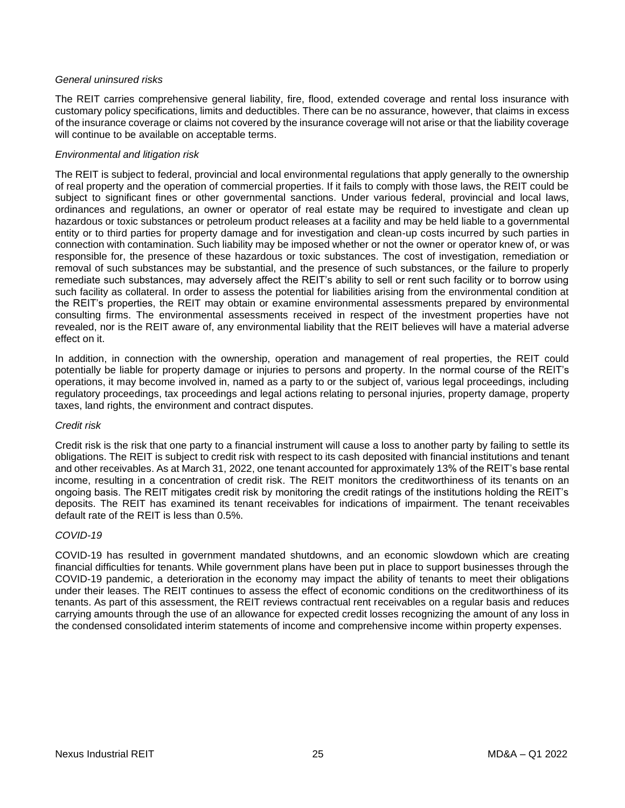#### *General uninsured risks*

The REIT carries comprehensive general liability, fire, flood, extended coverage and rental loss insurance with customary policy specifications, limits and deductibles. There can be no assurance, however, that claims in excess of the insurance coverage or claims not covered by the insurance coverage will not arise or that the liability coverage will continue to be available on acceptable terms.

#### *Environmental and litigation risk*

The REIT is subject to federal, provincial and local environmental regulations that apply generally to the ownership of real property and the operation of commercial properties. If it fails to comply with those laws, the REIT could be subject to significant fines or other governmental sanctions. Under various federal, provincial and local laws, ordinances and regulations, an owner or operator of real estate may be required to investigate and clean up hazardous or toxic substances or petroleum product releases at a facility and may be held liable to a governmental entity or to third parties for property damage and for investigation and clean-up costs incurred by such parties in connection with contamination. Such liability may be imposed whether or not the owner or operator knew of, or was responsible for, the presence of these hazardous or toxic substances. The cost of investigation, remediation or removal of such substances may be substantial, and the presence of such substances, or the failure to properly remediate such substances, may adversely affect the REIT's ability to sell or rent such facility or to borrow using such facility as collateral. In order to assess the potential for liabilities arising from the environmental condition at the REIT's properties, the REIT may obtain or examine environmental assessments prepared by environmental consulting firms. The environmental assessments received in respect of the investment properties have not revealed, nor is the REIT aware of, any environmental liability that the REIT believes will have a material adverse effect on it.

In addition, in connection with the ownership, operation and management of real properties, the REIT could potentially be liable for property damage or injuries to persons and property. In the normal course of the REIT's operations, it may become involved in, named as a party to or the subject of, various legal proceedings, including regulatory proceedings, tax proceedings and legal actions relating to personal injuries, property damage, property taxes, land rights, the environment and contract disputes.

#### *Credit risk*

Credit risk is the risk that one party to a financial instrument will cause a loss to another party by failing to settle its obligations. The REIT is subject to credit risk with respect to its cash deposited with financial institutions and tenant and other receivables. As at March 31, 2022, one tenant accounted for approximately 13% of the REIT's base rental income, resulting in a concentration of credit risk. The REIT monitors the creditworthiness of its tenants on an ongoing basis. The REIT mitigates credit risk by monitoring the credit ratings of the institutions holding the REIT's deposits. The REIT has examined its tenant receivables for indications of impairment. The tenant receivables default rate of the REIT is less than 0.5%.

### *COVID-19*

COVID-19 has resulted in government mandated shutdowns, and an economic slowdown which are creating financial difficulties for tenants. While government plans have been put in place to support businesses through the COVID-19 pandemic, a deterioration in the economy may impact the ability of tenants to meet their obligations under their leases. The REIT continues to assess the effect of economic conditions on the creditworthiness of its tenants. As part of this assessment, the REIT reviews contractual rent receivables on a regular basis and reduces carrying amounts through the use of an allowance for expected credit losses recognizing the amount of any loss in the condensed consolidated interim statements of income and comprehensive income within property expenses.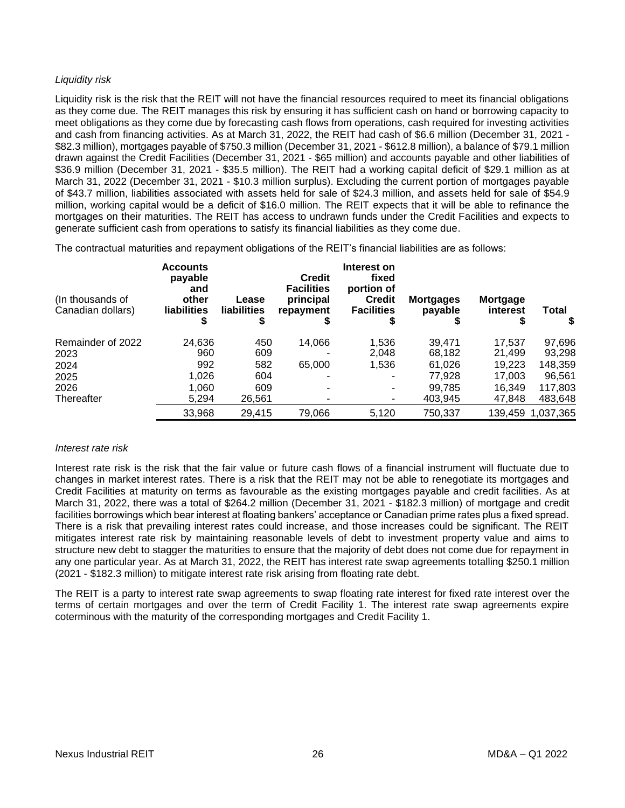## *Liquidity risk*

Liquidity risk is the risk that the REIT will not have the financial resources required to meet its financial obligations as they come due. The REIT manages this risk by ensuring it has sufficient cash on hand or borrowing capacity to meet obligations as they come due by forecasting cash flows from operations, cash required for investing activities and cash from financing activities. As at March 31, 2022, the REIT had cash of \$6.6 million (December 31, 2021 - \$82.3 million), mortgages payable of \$750.3 million (December 31, 2021 - \$612.8 million), a balance of \$79.1 million drawn against the Credit Facilities (December 31, 2021 - \$65 million) and accounts payable and other liabilities of \$36.9 million (December 31, 2021 - \$35.5 million). The REIT had a working capital deficit of \$29.1 million as at March 31, 2022 (December 31, 2021 - \$10.3 million surplus). Excluding the current portion of mortgages payable of \$43.7 million, liabilities associated with assets held for sale of \$24.3 million, and assets held for sale of \$54.9 million, working capital would be a deficit of \$16.0 million. The REIT expects that it will be able to refinance the mortgages on their maturities. The REIT has access to undrawn funds under the Credit Facilities and expects to generate sufficient cash from operations to satisfy its financial liabilities as they come due.

The contractual maturities and repayment obligations of the REIT's financial liabilities are as follows:

| (In thousands of<br>Canadian dollars) | <b>Accounts</b><br>payable<br>and<br>other<br><b>liabilities</b><br>S | Lease<br>liabilities<br>S | <b>Credit</b><br><b>Facilities</b><br>principal<br>repayment<br>ъ | Interest on<br>fixed<br>portion of<br><b>Credit</b><br><b>Facilities</b> | <b>Mortgages</b><br>payable | Mortgage<br>interest | <b>Total</b><br>S |
|---------------------------------------|-----------------------------------------------------------------------|---------------------------|-------------------------------------------------------------------|--------------------------------------------------------------------------|-----------------------------|----------------------|-------------------|
| Remainder of 2022                     | 24,636                                                                | 450                       | 14,066                                                            | 1,536                                                                    | 39,471                      | 17.537               | 97,696            |
| 2023                                  | 960                                                                   | 609                       |                                                                   | 2,048                                                                    | 68,182                      | 21.499               | 93,298            |
| 2024                                  | 992                                                                   | 582                       | 65,000                                                            | 1,536                                                                    | 61,026                      | 19.223               | 148,359           |
| 2025                                  | 1,026                                                                 | 604                       |                                                                   | ۰                                                                        | 77,928                      | 17,003               | 96,561            |
| 2026                                  | 1,060                                                                 | 609                       |                                                                   | $\overline{\phantom{a}}$                                                 | 99.785                      | 16.349               | 117,803           |
| Thereafter                            | 5.294                                                                 | 26.561                    |                                                                   | $\overline{\phantom{a}}$                                                 | 403.945                     | 47.848               | 483,648           |
|                                       | 33,968                                                                | 29,415                    | 79,066                                                            | 5,120                                                                    | 750,337                     |                      | 139,459 1,037,365 |

### *Interest rate risk*

Interest rate risk is the risk that the fair value or future cash flows of a financial instrument will fluctuate due to changes in market interest rates. There is a risk that the REIT may not be able to renegotiate its mortgages and Credit Facilities at maturity on terms as favourable as the existing mortgages payable and credit facilities. As at March 31, 2022, there was a total of \$264.2 million (December 31, 2021 - \$182.3 million) of mortgage and credit facilities borrowings which bear interest at floating bankers' acceptance or Canadian prime rates plus a fixed spread. There is a risk that prevailing interest rates could increase, and those increases could be significant. The REIT mitigates interest rate risk by maintaining reasonable levels of debt to investment property value and aims to structure new debt to stagger the maturities to ensure that the majority of debt does not come due for repayment in any one particular year. As at March 31, 2022, the REIT has interest rate swap agreements totalling \$250.1 million (2021 - \$182.3 million) to mitigate interest rate risk arising from floating rate debt.

The REIT is a party to interest rate swap agreements to swap floating rate interest for fixed rate interest over the terms of certain mortgages and over the term of Credit Facility 1. The interest rate swap agreements expire coterminous with the maturity of the corresponding mortgages and Credit Facility 1.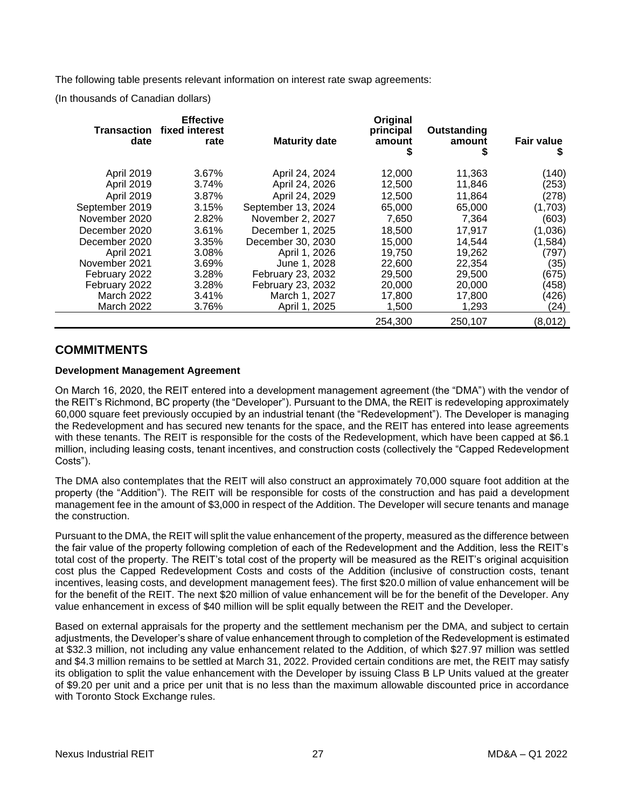The following table presents relevant information on interest rate swap agreements:

(In thousands of Canadian dollars)

| date              | <b>Effective</b><br><b>Transaction fixed interest</b><br>rate | <b>Maturity date</b> | Original<br>principal<br>amount<br>5 | Outstanding<br>amount<br>\$ | <b>Fair value</b><br>5 |
|-------------------|---------------------------------------------------------------|----------------------|--------------------------------------|-----------------------------|------------------------|
|                   |                                                               |                      |                                      |                             |                        |
| <b>April 2019</b> | 3.67%                                                         | April 24, 2024       | 12,000                               | 11,363                      | (140)                  |
| <b>April 2019</b> | 3.74%                                                         | April 24, 2026       | 12,500                               | 11,846                      | (253)                  |
| <b>April 2019</b> | 3.87%                                                         | April 24, 2029       | 12,500                               | 11,864                      | (278)                  |
| September 2019    | 3.15%                                                         | September 13, 2024   | 65,000                               | 65,000                      | (1,703)                |
| November 2020     | 2.82%                                                         | November 2, 2027     | 7,650                                | 7.364                       | (603)                  |
| December 2020     | 3.61%                                                         | December 1, 2025     | 18.500                               | 17,917                      | (1,036)                |
| December 2020     | 3.35%                                                         | December 30, 2030    | 15.000                               | 14,544                      | (1, 584)               |
| April 2021        | 3.08%                                                         | April 1, 2026        | 19,750                               | 19,262                      | (797)                  |
| November 2021     | 3.69%                                                         | June 1, 2028         | 22,600                               | 22,354                      | (35)                   |
| February 2022     | 3.28%                                                         | February 23, 2032    | 29,500                               | 29,500                      | (675)                  |
| February 2022     | 3.28%                                                         | February 23, 2032    | 20,000                               | 20,000                      | (458)                  |
| <b>March 2022</b> | 3.41%                                                         | March 1, 2027        | 17,800                               | 17,800                      | (426)                  |
| <b>March 2022</b> | 3.76%                                                         | April 1, 2025        | 1,500                                | 1,293                       | (24)                   |
|                   |                                                               |                      | 254.300                              | 250,107                     | (8,012)                |

## <span id="page-26-0"></span>**COMMITMENTS**

## **Development Management Agreement**

On March 16, 2020, the REIT entered into a development management agreement (the "DMA") with the vendor of the REIT's Richmond, BC property (the "Developer"). Pursuant to the DMA, the REIT is redeveloping approximately 60,000 square feet previously occupied by an industrial tenant (the "Redevelopment"). The Developer is managing the Redevelopment and has secured new tenants for the space, and the REIT has entered into lease agreements with these tenants. The REIT is responsible for the costs of the Redevelopment, which have been capped at \$6.1 million, including leasing costs, tenant incentives, and construction costs (collectively the "Capped Redevelopment Costs").

The DMA also contemplates that the REIT will also construct an approximately 70,000 square foot addition at the property (the "Addition"). The REIT will be responsible for costs of the construction and has paid a development management fee in the amount of \$3,000 in respect of the Addition. The Developer will secure tenants and manage the construction.

Pursuant to the DMA, the REIT will split the value enhancement of the property, measured as the difference between the fair value of the property following completion of each of the Redevelopment and the Addition, less the REIT's total cost of the property. The REIT's total cost of the property will be measured as the REIT's original acquisition cost plus the Capped Redevelopment Costs and costs of the Addition (inclusive of construction costs, tenant incentives, leasing costs, and development management fees). The first \$20.0 million of value enhancement will be for the benefit of the REIT. The next \$20 million of value enhancement will be for the benefit of the Developer. Any value enhancement in excess of \$40 million will be split equally between the REIT and the Developer.

Based on external appraisals for the property and the settlement mechanism per the DMA, and subject to certain adjustments, the Developer's share of value enhancement through to completion of the Redevelopment is estimated at \$32.3 million, not including any value enhancement related to the Addition, of which \$27.97 million was settled and \$4.3 million remains to be settled at March 31, 2022. Provided certain conditions are met, the REIT may satisfy its obligation to split the value enhancement with the Developer by issuing Class B LP Units valued at the greater of \$9.20 per unit and a price per unit that is no less than the maximum allowable discounted price in accordance with Toronto Stock Exchange rules.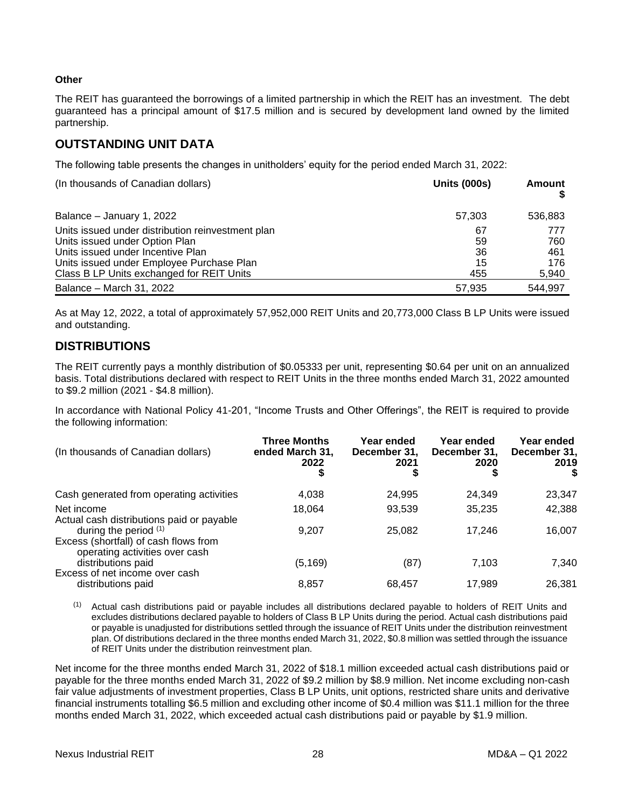## **Other**

The REIT has guaranteed the borrowings of a limited partnership in which the REIT has an investment. The debt guaranteed has a principal amount of \$17.5 million and is secured by development land owned by the limited partnership.

## <span id="page-27-0"></span>**OUTSTANDING UNIT DATA**

The following table presents the changes in unitholders' equity for the period ended March 31, 2022:

| (In thousands of Canadian dollars)                                                                                                                                                                                 | <b>Units (000s)</b>         | Amount                            |
|--------------------------------------------------------------------------------------------------------------------------------------------------------------------------------------------------------------------|-----------------------------|-----------------------------------|
| Balance - January 1, 2022                                                                                                                                                                                          | 57,303                      | 536,883                           |
| Units issued under distribution reinvestment plan<br>Units issued under Option Plan<br>Units issued under Incentive Plan<br>Units issued under Employee Purchase Plan<br>Class B LP Units exchanged for REIT Units | 67<br>59<br>36<br>15<br>455 | 777<br>760<br>461<br>176<br>5,940 |
| Balance – March 31, 2022                                                                                                                                                                                           | 57.935                      | 544,997                           |

As at May 12, 2022, a total of approximately 57,952,000 REIT Units and 20,773,000 Class B LP Units were issued and outstanding.

## <span id="page-27-1"></span>**DISTRIBUTIONS**

The REIT currently pays a monthly distribution of \$0.05333 per unit, representing \$0.64 per unit on an annualized basis. Total distributions declared with respect to REIT Units in the three months ended March 31, 2022 amounted to \$9.2 million (2021 - \$4.8 million).

In accordance with National Policy 41-201, "Income Trusts and Other Offerings", the REIT is required to provide the following information:

| (In thousands of Canadian dollars)                                                                 | <b>Three Months</b><br>ended March 31,<br>2022<br>\$ | Year ended<br>December 31,<br>2021 | Year ended<br>December 31,<br>2020 | Year ended<br>December 31,<br>2019<br>S |
|----------------------------------------------------------------------------------------------------|------------------------------------------------------|------------------------------------|------------------------------------|-----------------------------------------|
| Cash generated from operating activities                                                           | 4,038                                                | 24,995                             | 24,349                             | 23,347                                  |
| Net income<br>Actual cash distributions paid or payable                                            | 18,064                                               | 93,539                             | 35,235                             | 42,388                                  |
| during the period $(1)$<br>Excess (shortfall) of cash flows from<br>operating activities over cash | 9.207                                                | 25,082                             | 17.246                             | 16,007                                  |
| distributions paid                                                                                 | (5, 169)                                             | (87)                               | 7,103                              | 7,340                                   |
| Excess of net income over cash<br>distributions paid                                               | 8,857                                                | 68.457                             | 17.989                             | 26,381                                  |

 $(1)$  Actual cash distributions paid or payable includes all distributions declared payable to holders of REIT Units and excludes distributions declared payable to holders of Class B LP Units during the period. Actual cash distributions paid or payable is unadjusted for distributions settled through the issuance of REIT Units under the distribution reinvestment plan. Of distributions declared in the three months ended March 31, 2022, \$0.8 million was settled through the issuance of REIT Units under the distribution reinvestment plan.

Net income for the three months ended March 31, 2022 of \$18.1 million exceeded actual cash distributions paid or payable for the three months ended March 31, 2022 of \$9.2 million by \$8.9 million. Net income excluding non-cash fair value adjustments of investment properties, Class B LP Units, unit options, restricted share units and derivative financial instruments totalling \$6.5 million and excluding other income of \$0.4 million was \$11.1 million for the three months ended March 31, 2022, which exceeded actual cash distributions paid or payable by \$1.9 million.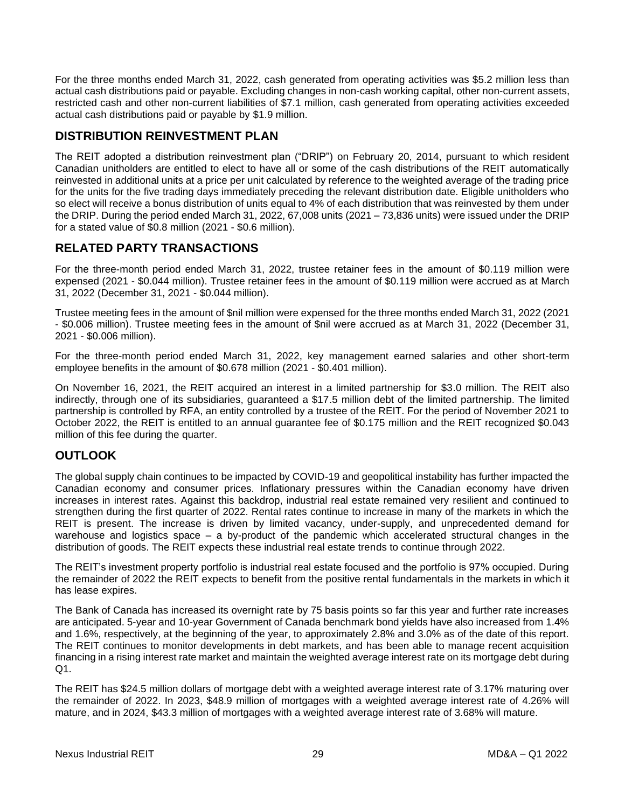For the three months ended March 31, 2022, cash generated from operating activities was \$5.2 million less than actual cash distributions paid or payable. Excluding changes in non-cash working capital, other non-current assets, restricted cash and other non-current liabilities of \$7.1 million, cash generated from operating activities exceeded actual cash distributions paid or payable by \$1.9 million.

## <span id="page-28-0"></span>**DISTRIBUTION REINVESTMENT PLAN**

The REIT adopted a distribution reinvestment plan ("DRIP") on February 20, 2014, pursuant to which resident Canadian unitholders are entitled to elect to have all or some of the cash distributions of the REIT automatically reinvested in additional units at a price per unit calculated by reference to the weighted average of the trading price for the units for the five trading days immediately preceding the relevant distribution date. Eligible unitholders who so elect will receive a bonus distribution of units equal to 4% of each distribution that was reinvested by them under the DRIP. During the period ended March 31, 2022, 67,008 units (2021 – 73,836 units) were issued under the DRIP for a stated value of \$0.8 million (2021 - \$0.6 million).

# <span id="page-28-1"></span>**RELATED PARTY TRANSACTIONS**

For the three-month period ended March 31, 2022, trustee retainer fees in the amount of \$0.119 million were expensed (2021 - \$0.044 million). Trustee retainer fees in the amount of \$0.119 million were accrued as at March 31, 2022 (December 31, 2021 - \$0.044 million).

Trustee meeting fees in the amount of \$nil million were expensed for the three months ended March 31, 2022 (2021 - \$0.006 million). Trustee meeting fees in the amount of \$nil were accrued as at March 31, 2022 (December 31, 2021 - \$0.006 million).

For the three-month period ended March 31, 2022, key management earned salaries and other short-term employee benefits in the amount of \$0.678 million (2021 - \$0.401 million).

On November 16, 2021, the REIT acquired an interest in a limited partnership for \$3.0 million. The REIT also indirectly, through one of its subsidiaries, guaranteed a \$17.5 million debt of the limited partnership. The limited partnership is controlled by RFA, an entity controlled by a trustee of the REIT. For the period of November 2021 to October 2022, the REIT is entitled to an annual guarantee fee of \$0.175 million and the REIT recognized \$0.043 million of this fee during the quarter.

## <span id="page-28-2"></span>**OUTLOOK**

The global supply chain continues to be impacted by COVID-19 and geopolitical instability has further impacted the Canadian economy and consumer prices. Inflationary pressures within the Canadian economy have driven increases in interest rates. Against this backdrop, industrial real estate remained very resilient and continued to strengthen during the first quarter of 2022. Rental rates continue to increase in many of the markets in which the REIT is present. The increase is driven by limited vacancy, under-supply, and unprecedented demand for warehouse and logistics space – a by-product of the pandemic which accelerated structural changes in the distribution of goods. The REIT expects these industrial real estate trends to continue through 2022.

The REIT's investment property portfolio is industrial real estate focused and the portfolio is 97% occupied. During the remainder of 2022 the REIT expects to benefit from the positive rental fundamentals in the markets in which it has lease expires.

The Bank of Canada has increased its overnight rate by 75 basis points so far this year and further rate increases are anticipated. 5-year and 10-year Government of Canada benchmark bond yields have also increased from 1.4% and 1.6%, respectively, at the beginning of the year, to approximately 2.8% and 3.0% as of the date of this report. The REIT continues to monitor developments in debt markets, and has been able to manage recent acquisition financing in a rising interest rate market and maintain the weighted average interest rate on its mortgage debt during Q1.

The REIT has \$24.5 million dollars of mortgage debt with a weighted average interest rate of 3.17% maturing over the remainder of 2022. In 2023, \$48.9 million of mortgages with a weighted average interest rate of 4.26% will mature, and in 2024, \$43.3 million of mortgages with a weighted average interest rate of 3.68% will mature.